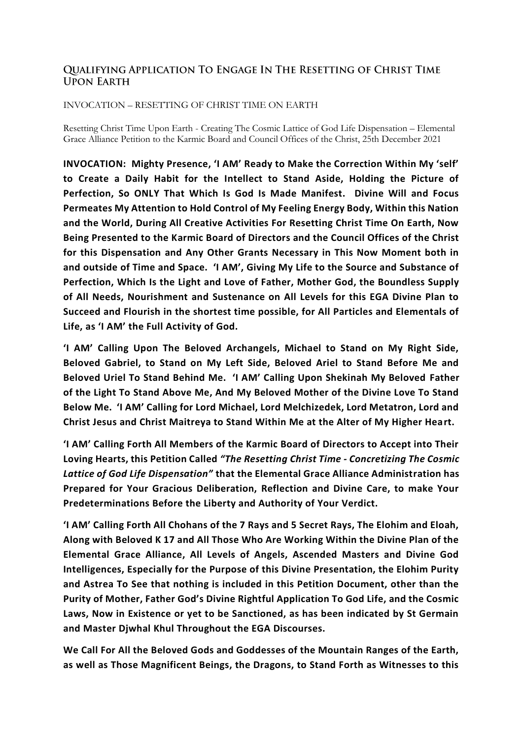# **OUALIFYING APPLICATION TO ENGAGE IN THE RESETTING OF CHRIST TIME UPON EARTH**

### INVOCATION – RESETTING OF CHRIST TIME ON EARTH

Resetting Christ Time Upon Earth - Creating The Cosmic Lattice of God Life Dispensation – Elemental Grace Alliance Petition to the Karmic Board and Council Offices of the Christ, 25th December 2021

**INVOCATION: Mighty Presence, 'I AM' Ready to Make the Correction Within My 'self' to Create a Daily Habit for the Intellect to Stand Aside, Holding the Picture of Perfection, So ONLY That Which Is God Is Made Manifest. Divine Will and Focus Permeates My Attention to Hold Control of My Feeling Energy Body, Within this Nation and the World, During All Creative Activities For Resetting Christ Time On Earth, Now Being Presented to the Karmic Board of Directors and the Council Offices of the Christ for this Dispensation and Any Other Grants Necessary in This Now Moment both in and outside of Time and Space. 'I AM', Giving My Life to the Source and Substance of Perfection, Which Is the Light and Love of Father, Mother God, the Boundless Supply of All Needs, Nourishment and Sustenance on All Levels for this EGA Divine Plan to Succeed and Flourish in the shortest time possible, for All Particles and Elementals of Life, as 'I AM' the Full Activity of God.** 

**'I AM' Calling Upon The Beloved Archangels, Michael to Stand on My Right Side, Beloved Gabriel, to Stand on My Left Side, Beloved Ariel to Stand Before Me and Beloved Uriel To Stand Behind Me. 'I AM' Calling Upon Shekinah My Beloved Father of the Light To Stand Above Me, And My Beloved Mother of the Divine Love To Stand Below Me. 'I AM' Calling for Lord Michael, Lord Melchizedek, Lord Metatron, Lord and Christ Jesus and Christ Maitreya to Stand Within Me at the Alter of My Higher Heart.**

**'I AM' Calling Forth All Members of the Karmic Board of Directors to Accept into Their Loving Hearts, this Petition Called** *"The Resetting Christ Time - Concretizing The Cosmic Lattice of God Life Dispensation"* **that the Elemental Grace Alliance Administration has Prepared for Your Gracious Deliberation, Reflection and Divine Care, to make Your Predeterminations Before the Liberty and Authority of Your Verdict.** 

**'I AM' Calling Forth All Chohans of the 7 Rays and 5 Secret Rays, The Elohim and Eloah, Along with Beloved K 17 and All Those Who Are Working Within the Divine Plan of the Elemental Grace Alliance, All Levels of Angels, Ascended Masters and Divine God Intelligences, Especially for the Purpose of this Divine Presentation, the Elohim Purity and Astrea To See that nothing is included in this Petition Document, other than the Purity of Mother, Father God's Divine Rightful Application To God Life, and the Cosmic Laws, Now in Existence or yet to be Sanctioned, as has been indicated by St Germain and Master Djwhal Khul Throughout the EGA Discourses.** 

**We Call For All the Beloved Gods and Goddesses of the Mountain Ranges of the Earth, as well as Those Magnificent Beings, the Dragons, to Stand Forth as Witnesses to this**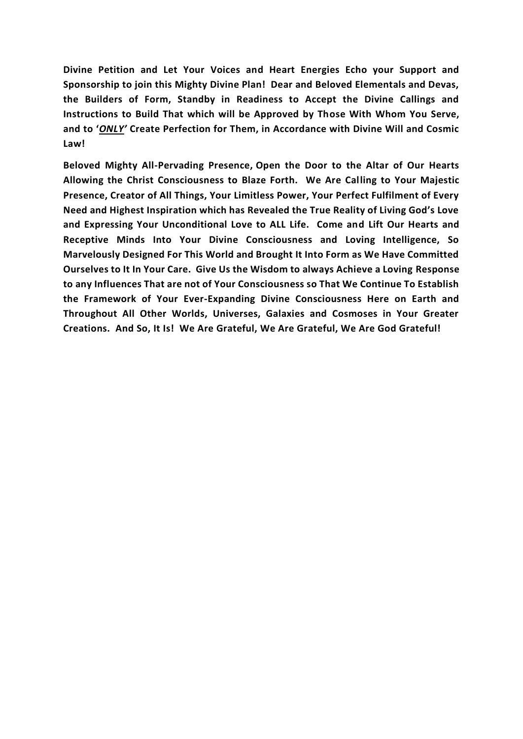**Divine Petition and Let Your Voices and Heart Energies Echo your Support and Sponsorship to join this Mighty Divine Plan! Dear and Beloved Elementals and Devas, the Builders of Form, Standby in Readiness to Accept the Divine Callings and Instructions to Build That which will be Approved by Those With Whom You Serve, and to '***ONLY'* **Create Perfection for Them, in Accordance with Divine Will and Cosmic Law!**

**Beloved Mighty All-Pervading Presence, Open the Door to the Altar of Our Hearts Allowing the Christ Consciousness to Blaze Forth. We Are Calling to Your Majestic Presence, Creator of All Things, Your Limitless Power, Your Perfect Fulfilment of Every Need and Highest Inspiration which has Revealed the True Reality of Living God's Love and Expressing Your Unconditional Love to ALL Life. Come and Lift Our Hearts and Receptive Minds Into Your Divine Consciousness and Loving Intelligence, So Marvelously Designed For This World and Brought It Into Form as We Have Committed Ourselves to It In Your Care. Give Us the Wisdom to always Achieve a Loving Response to any Influences That are not of Your Consciousness so That We Continue To Establish the Framework of Your Ever-Expanding Divine Consciousness Here on Earth and Throughout All Other Worlds, Universes, Galaxies and Cosmoses in Your Greater Creations. And So, It Is! We Are Grateful, We Are Grateful, We Are God Grateful!**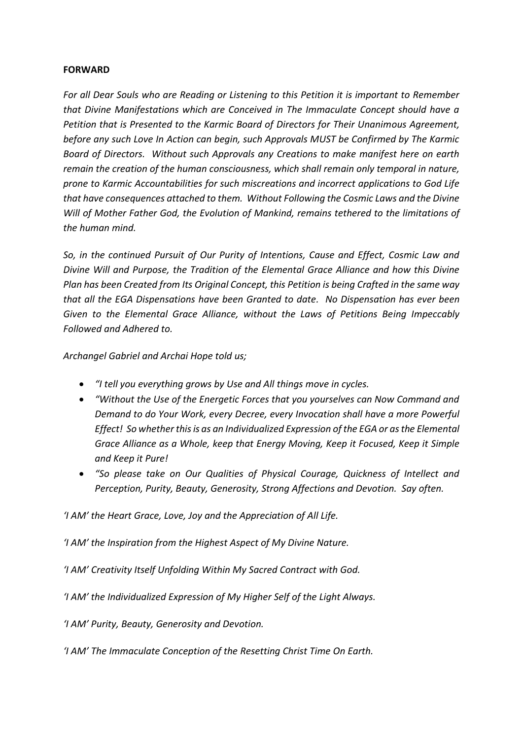## **FORWARD**

*For all Dear Souls who are Reading or Listening to this Petition it is important to Remember that Divine Manifestations which are Conceived in The Immaculate Concept should have a Petition that is Presented to the Karmic Board of Directors for Their Unanimous Agreement, before any such Love In Action can begin, such Approvals MUST be Confirmed by The Karmic Board of Directors. Without such Approvals any Creations to make manifest here on earth remain the creation of the human consciousness, which shall remain only temporal in nature, prone to Karmic Accountabilities for such miscreations and incorrect applications to God Life that have consequences attached to them. Without Following the Cosmic Laws and the Divine Will of Mother Father God, the Evolution of Mankind, remains tethered to the limitations of the human mind.* 

*So, in the continued Pursuit of Our Purity of Intentions, Cause and Effect, Cosmic Law and Divine Will and Purpose, the Tradition of the Elemental Grace Alliance and how this Divine Plan has been Created from Its Original Concept, this Petition is being Crafted in the same way that all the EGA Dispensations have been Granted to date. No Dispensation has ever been Given to the Elemental Grace Alliance, without the Laws of Petitions Being Impeccably Followed and Adhered to.*

*Archangel Gabriel and Archai Hope told us;*

- *"I tell you everything grows by Use and All things move in cycles.*
- *"Without the Use of the Energetic Forces that you yourselves can Now Command and Demand to do Your Work, every Decree, every Invocation shall have a more Powerful Effect! So whether this is as an Individualized Expression of the EGA or as the Elemental Grace Alliance as a Whole, keep that Energy Moving, Keep it Focused, Keep it Simple and Keep it Pure!*
- *"So please take on Our Qualities of Physical Courage, Quickness of Intellect and Perception, Purity, Beauty, Generosity, Strong Affections and Devotion. Say often.*

*'I AM' the Heart Grace, Love, Joy and the Appreciation of All Life.*

*'I AM' the Inspiration from the Highest Aspect of My Divine Nature.*

*'I AM' Creativity Itself Unfolding Within My Sacred Contract with God.* 

*'I AM' the Individualized Expression of My Higher Self of the Light Always.*

*'I AM' Purity, Beauty, Generosity and Devotion.*

*'I AM' The Immaculate Conception of the Resetting Christ Time On Earth.*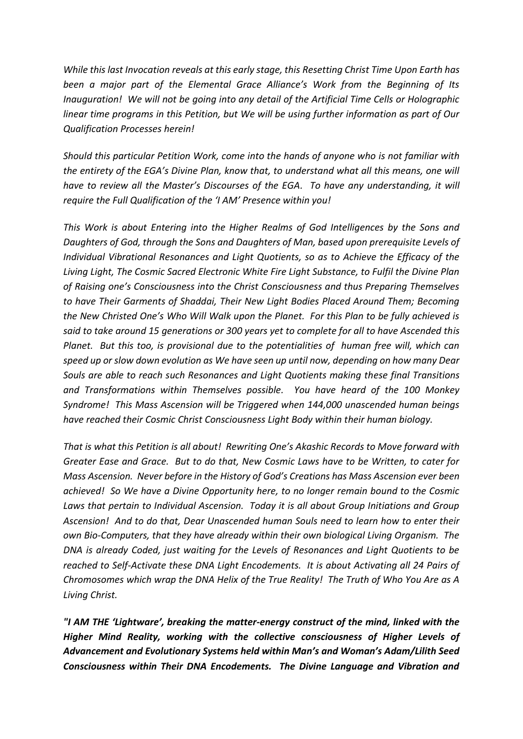*While this last Invocation reveals at this early stage, this Resetting Christ Time Upon Earth has been a major part of the Elemental Grace Alliance's Work from the Beginning of Its Inauguration! We will not be going into any detail of the Artificial Time Cells or Holographic linear time programs in this Petition, but We will be using further information as part of Our Qualification Processes herein!* 

*Should this particular Petition Work, come into the hands of anyone who is not familiar with the entirety of the EGA's Divine Plan, know that, to understand what all this means, one will have to review all the Master's Discourses of the EGA. To have any understanding, it will require the Full Qualification of the 'I AM' Presence within you!*

*This Work is about Entering into the Higher Realms of God Intelligences by the Sons and Daughters of God, through the Sons and Daughters of Man, based upon prerequisite Levels of Individual Vibrational Resonances and Light Quotients, so as to Achieve the Efficacy of the Living Light, The Cosmic Sacred Electronic White Fire Light Substance, to Fulfil the Divine Plan of Raising one's Consciousness into the Christ Consciousness and thus Preparing Themselves to have Their Garments of Shaddai, Their New Light Bodies Placed Around Them; Becoming the New Christed One's Who Will Walk upon the Planet. For this Plan to be fully achieved is said to take around 15 generations or 300 years yet to complete for all to have Ascended this Planet. But this too, is provisional due to the potentialities of human free will, which can speed up or slow down evolution as We have seen up until now, depending on how many Dear Souls are able to reach such Resonances and Light Quotients making these final Transitions and Transformations within Themselves possible. You have heard of the 100 Monkey Syndrome! This Mass Ascension will be Triggered when 144,000 unascended human beings have reached their Cosmic Christ Consciousness Light Body within their human biology.* 

*That is what this Petition is all about! Rewriting One's Akashic Records to Move forward with Greater Ease and Grace. But to do that, New Cosmic Laws have to be Written, to cater for Mass Ascension. Never before in the History of God's Creations has Mass Ascension ever been achieved! So We have a Divine Opportunity here, to no longer remain bound to the Cosmic Laws that pertain to Individual Ascension. Today it is all about Group Initiations and Group Ascension! And to do that, Dear Unascended human Souls need to learn how to enter their own Bio-Computers, that they have already within their own biological Living Organism. The DNA is already Coded, just waiting for the Levels of Resonances and Light Quotients to be reached to Self-Activate these DNA Light Encodements. It is about Activating all 24 Pairs of Chromosomes which wrap the DNA Helix of the True Reality! The Truth of Who You Are as A Living Christ.*

*"I AM THE 'Lightware', breaking the matter-energy construct of the mind, linked with the Higher Mind Reality, working with the collective consciousness of Higher Levels of Advancement and Evolutionary Systems held within Man's and Woman's Adam/Lilith Seed Consciousness within Their DNA Encodements. The Divine Language and Vibration and*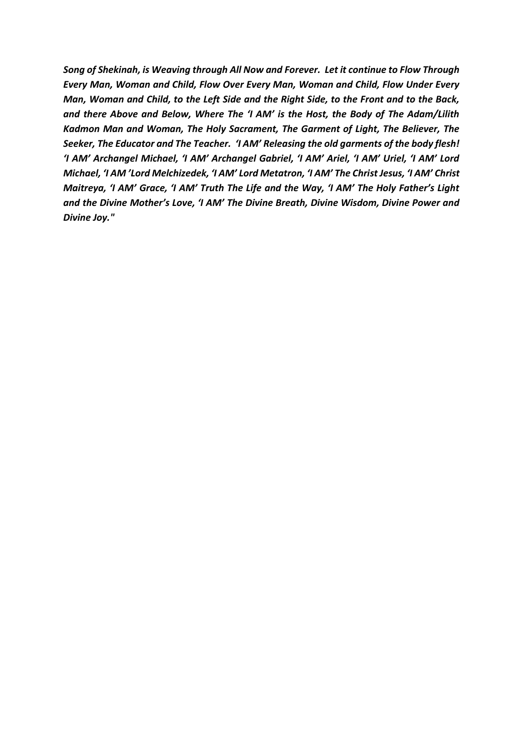*Song of Shekinah, is Weaving through All Now and Forever. Let it continue to Flow Through Every Man, Woman and Child, Flow Over Every Man, Woman and Child, Flow Under Every Man, Woman and Child, to the Left Side and the Right Side, to the Front and to the Back, and there Above and Below, Where The 'I AM' is the Host, the Body of The Adam/Lilith Kadmon Man and Woman, The Holy Sacrament, The Garment of Light, The Believer, The Seeker, The Educator and The Teacher. 'I AM' Releasing the old garments of the body flesh! 'I AM' Archangel Michael, 'I AM' Archangel Gabriel, 'I AM' Ariel, 'I AM' Uriel, 'I AM' Lord Michael, 'I AM 'Lord Melchizedek, 'I AM' Lord Metatron, 'I AM' The Christ Jesus, 'I AM' Christ Maitreya, 'I AM' Grace, 'I AM' Truth The Life and the Way, 'I AM' The Holy Father's Light and the Divine Mother's Love, 'I AM' The Divine Breath, Divine Wisdom, Divine Power and Divine Joy."*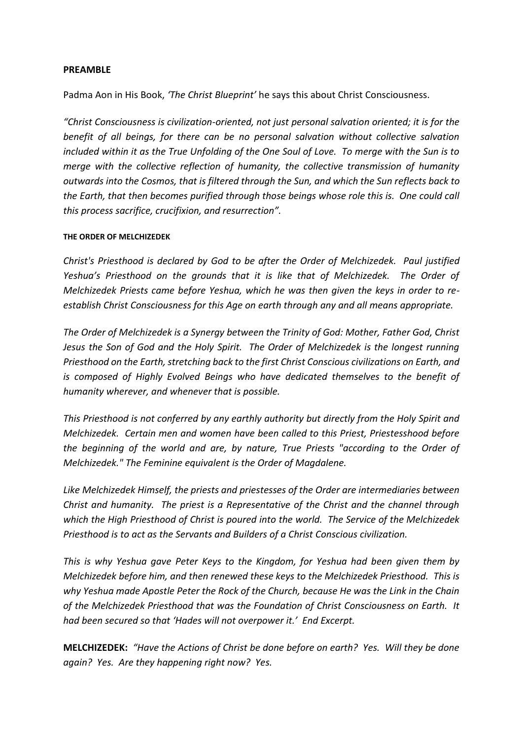## **PREAMBLE**

Padma Aon in His Book, *'The Christ Blueprint'* he says this about Christ Consciousness.

*"Christ Consciousness is civilization-oriented, not just personal salvation oriented; it is for the benefit of all beings, for there can be no personal salvation without collective salvation included within it as the True Unfolding of the One Soul of Love. To merge with the Sun is to merge with the collective reflection of humanity, the collective transmission of humanity outwards into the Cosmos, that is filtered through the Sun, and which the Sun reflects back to the Earth, that then becomes purified through those beings whose role this is. One could call this process sacrifice, crucifixion, and resurrection".* 

### **THE ORDER OF MELCHIZEDEK**

*Christ's Priesthood is declared by God to be after the Order of Melchizedek. Paul justified Yeshua's Priesthood on the grounds that it is like that of Melchizedek. The Order of Melchizedek Priests came before Yeshua, which he was then given the keys in order to reestablish Christ Consciousness for this Age on earth through any and all means appropriate.*

*The Order of Melchizedek is a Synergy between the Trinity of God: Mother, Father God, Christ Jesus the Son of God and the Holy Spirit. The Order of Melchizedek is the longest running Priesthood on the Earth, stretching back to the first Christ Conscious civilizations on Earth, and is composed of Highly Evolved Beings who have dedicated themselves to the benefit of humanity wherever, and whenever that is possible.*

*This Priesthood is not conferred by any earthly authority but directly from the Holy Spirit and Melchizedek. Certain men and women have been called to this Priest, Priestesshood before the beginning of the world and are, by nature, True Priests "according to the Order of Melchizedek." The Feminine equivalent is the Order of Magdalene.*

*Like Melchizedek Himself, the priests and priestesses of the Order are intermediaries between Christ and humanity. The priest is a Representative of the Christ and the channel through which the High Priesthood of Christ is poured into the world. The Service of the Melchizedek Priesthood is to act as the Servants and Builders of a Christ Conscious civilization.*

*This is why Yeshua gave Peter Keys to the Kingdom, for Yeshua had been given them by Melchizedek before him, and then renewed these keys to the Melchizedek Priesthood. This is why Yeshua made Apostle Peter the Rock of the Church, because He was the Link in the Chain of the Melchizedek Priesthood that was the Foundation of Christ Consciousness on Earth. It had been secured so that 'Hades will not overpower it.' End Excerpt.*

**MELCHIZEDEK:** *"Have the Actions of Christ be done before on earth? Yes. Will they be done again? Yes. Are they happening right now? Yes.*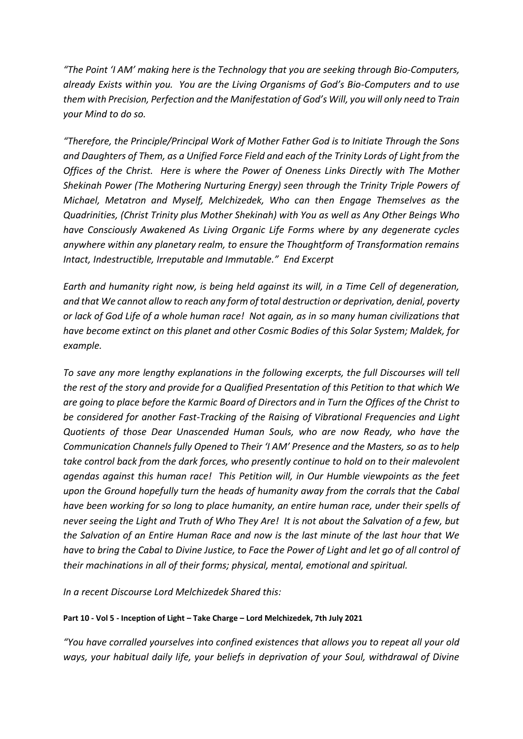*"The Point 'I AM' making here is the Technology that you are seeking through Bio-Computers, already Exists within you. You are the Living Organisms of God's Bio-Computers and to use them with Precision, Perfection and the Manifestation of God's Will, you will only need to Train your Mind to do so.*

*"Therefore, the Principle/Principal Work of Mother Father God is to Initiate Through the Sons and Daughters of Them, as a Unified Force Field and each of the Trinity Lords of Light from the Offices of the Christ. Here is where the Power of Oneness Links Directly with The Mother Shekinah Power (The Mothering Nurturing Energy) seen through the Trinity Triple Powers of Michael, Metatron and Myself, Melchizedek, Who can then Engage Themselves as the Quadrinities, (Christ Trinity plus Mother Shekinah) with You as well as Any Other Beings Who have Consciously Awakened As Living Organic Life Forms where by any degenerate cycles anywhere within any planetary realm, to ensure the Thoughtform of Transformation remains Intact, Indestructible, Irreputable and Immutable." End Excerpt*

*Earth and humanity right now, is being held against its will, in a Time Cell of degeneration, and that We cannot allow to reach any form of total destruction or deprivation, denial, poverty or lack of God Life of a whole human race! Not again, as in so many human civilizations that have become extinct on this planet and other Cosmic Bodies of this Solar System; Maldek, for example.*

*To save any more lengthy explanations in the following excerpts, the full Discourses will tell the rest of the story and provide for a Qualified Presentation of this Petition to that which We are going to place before the Karmic Board of Directors and in Turn the Offices of the Christ to be considered for another Fast-Tracking of the Raising of Vibrational Frequencies and Light Quotients of those Dear Unascended Human Souls, who are now Ready, who have the Communication Channels fully Opened to Their 'I AM' Presence and the Masters, so as to help take control back from the dark forces, who presently continue to hold on to their malevolent agendas against this human race! This Petition will, in Our Humble viewpoints as the feet upon the Ground hopefully turn the heads of humanity away from the corrals that the Cabal have been working for so long to place humanity, an entire human race, under their spells of never seeing the Light and Truth of Who They Are! It is not about the Salvation of a few, but the Salvation of an Entire Human Race and now is the last minute of the last hour that We have to bring the Cabal to Divine Justice, to Face the Power of Light and let go of all control of their machinations in all of their forms; physical, mental, emotional and spiritual.*

*In a recent Discourse Lord Melchizedek Shared this:* 

## **Part 10 - Vol 5 - Inception of Light – Take Charge – Lord Melchizedek, 7th July 2021**

*"You have corralled yourselves into confined existences that allows you to repeat all your old ways, your habitual daily life, your beliefs in deprivation of your Soul, withdrawal of Divine*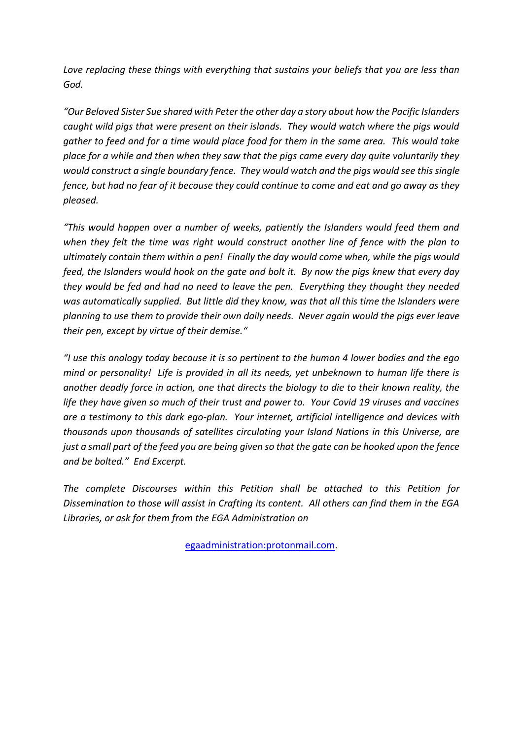*Love replacing these things with everything that sustains your beliefs that you are less than God.*

*"Our Beloved Sister Sue shared with Peter the other day a story about how the Pacific Islanders caught wild pigs that were present on their islands. They would watch where the pigs would gather to feed and for a time would place food for them in the same area. This would take place for a while and then when they saw that the pigs came every day quite voluntarily they would construct a single boundary fence. They would watch and the pigs would see this single fence, but had no fear of it because they could continue to come and eat and go away as they pleased.*

*"This would happen over a number of weeks, patiently the Islanders would feed them and when they felt the time was right would construct another line of fence with the plan to ultimately contain them within a pen! Finally the day would come when, while the pigs would feed, the Islanders would hook on the gate and bolt it. By now the pigs knew that every day they would be fed and had no need to leave the pen. Everything they thought they needed was automatically supplied. But little did they know, was that all this time the Islanders were planning to use them to provide their own daily needs. Never again would the pigs ever leave their pen, except by virtue of their demise."*

*"I use this analogy today because it is so pertinent to the human 4 lower bodies and the ego mind or personality! Life is provided in all its needs, yet unbeknown to human life there is another deadly force in action, one that directs the biology to die to their known reality, the life they have given so much of their trust and power to. Your Covid 19 viruses and vaccines are a testimony to this dark ego-plan. Your internet, artificial intelligence and devices with thousands upon thousands of satellites circulating your Island Nations in this Universe, are just a small part of the feed you are being given so that the gate can be hooked upon the fence and be bolted." End Excerpt.*

*The complete Discourses within this Petition shall be attached to this Petition for Dissemination to those will assist in Crafting its content. All others can find them in the EGA Libraries, or ask for them from the EGA Administration on*

[egaadministration:protonmail.com.](mailto:egaadministration:protonmail.com)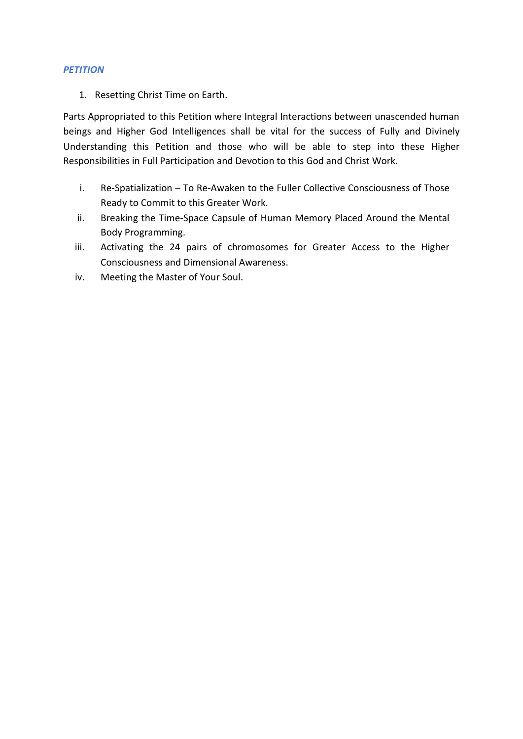## *PETITION*

1. Resetting Christ Time on Earth.

Parts Appropriated to this Petition where Integral Interactions between unascended human beings and Higher God Intelligences shall be vital for the success of Fully and Divinely Understanding this Petition and those who will be able to step into these Higher Responsibilities in Full Participation and Devotion to this God and Christ Work.

- i. Re-Spatialization To Re-Awaken to the Fuller Collective Consciousness of Those Ready to Commit to this Greater Work.
- ii. Breaking the Time-Space Capsule of Human Memory Placed Around the Mental Body Programming.
- iii. Activating the 24 pairs of chromosomes for Greater Access to the Higher Consciousness and Dimensional Awareness.
- iv. Meeting the Master of Your Soul.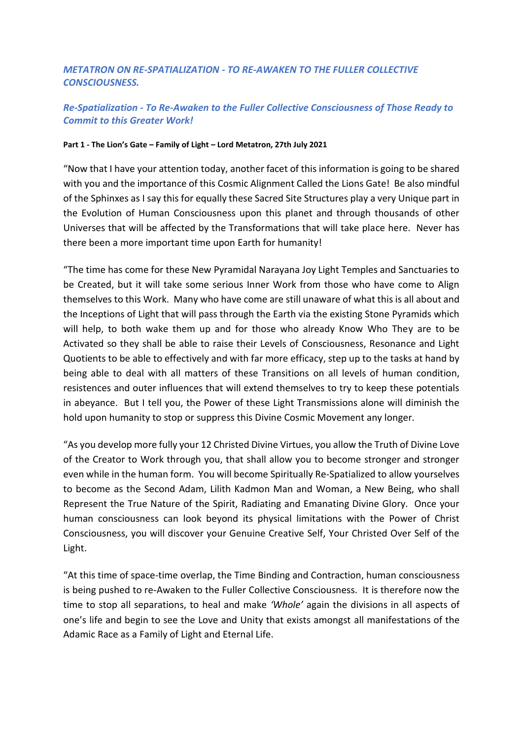## *METATRON ON RE-SPATIALIZATION - TO RE-AWAKEN TO THE FULLER COLLECTIVE CONSCIOUSNESS.*

# *Re-Spatialization - To Re-Awaken to the Fuller Collective Consciousness of Those Ready to Commit to this Greater Work!*

#### **Part 1 - The Lion's Gate – Family of Light – Lord Metatron, 27th July 2021**

"Now that I have your attention today, another facet of this information is going to be shared with you and the importance of this Cosmic Alignment Called the Lions Gate! Be also mindful of the Sphinxes as I say this for equally these Sacred Site Structures play a very Unique part in the Evolution of Human Consciousness upon this planet and through thousands of other Universes that will be affected by the Transformations that will take place here. Never has there been a more important time upon Earth for humanity!

"The time has come for these New Pyramidal Narayana Joy Light Temples and Sanctuaries to be Created, but it will take some serious Inner Work from those who have come to Align themselves to this Work. Many who have come are still unaware of what this is all about and the Inceptions of Light that will pass through the Earth via the existing Stone Pyramids which will help, to both wake them up and for those who already Know Who They are to be Activated so they shall be able to raise their Levels of Consciousness, Resonance and Light Quotients to be able to effectively and with far more efficacy, step up to the tasks at hand by being able to deal with all matters of these Transitions on all levels of human condition, resistences and outer influences that will extend themselves to try to keep these potentials in abeyance. But I tell you, the Power of these Light Transmissions alone will diminish the hold upon humanity to stop or suppress this Divine Cosmic Movement any longer.

"As you develop more fully your 12 Christed Divine Virtues, you allow the Truth of Divine Love of the Creator to Work through you, that shall allow you to become stronger and stronger even while in the human form. You will become Spiritually Re-Spatialized to allow yourselves to become as the Second Adam, Lilith Kadmon Man and Woman, a New Being, who shall Represent the True Nature of the Spirit, Radiating and Emanating Divine Glory. Once your human consciousness can look beyond its physical limitations with the Power of Christ Consciousness, you will discover your Genuine Creative Self, Your Christed Over Self of the Light.

"At this time of space-time overlap, the Time Binding and Contraction, human consciousness is being pushed to re-Awaken to the Fuller Collective Consciousness. It is therefore now the time to stop all separations, to heal and make *'Whole'* again the divisions in all aspects of one's life and begin to see the Love and Unity that exists amongst all manifestations of the Adamic Race as a Family of Light and Eternal Life.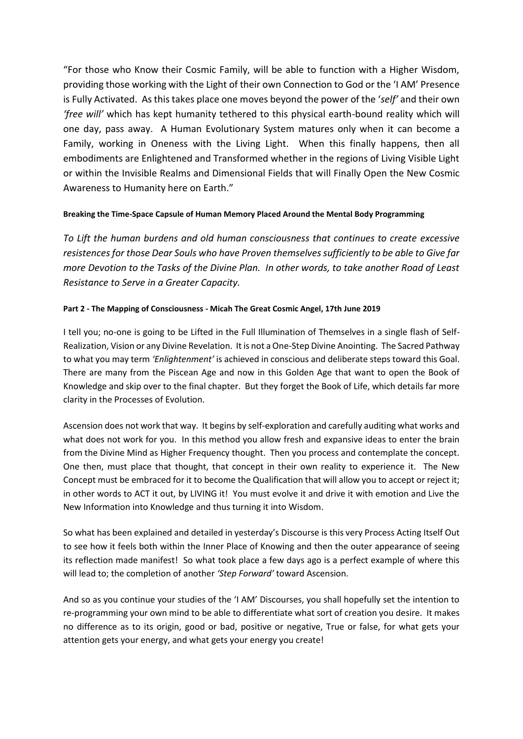"For those who Know their Cosmic Family, will be able to function with a Higher Wisdom, providing those working with the Light of their own Connection to God or the 'I AM' Presence is Fully Activated. As this takes place one moves beyond the power of the '*self'* and their own *'free will'* which has kept humanity tethered to this physical earth-bound reality which will one day, pass away. A Human Evolutionary System matures only when it can become a Family, working in Oneness with the Living Light. When this finally happens, then all embodiments are Enlightened and Transformed whether in the regions of Living Visible Light or within the Invisible Realms and Dimensional Fields that will Finally Open the New Cosmic Awareness to Humanity here on Earth."

### **Breaking the Time-Space Capsule of Human Memory Placed Around the Mental Body Programming**

*To Lift the human burdens and old human consciousness that continues to create excessive resistences for those Dear Souls who have Proven themselves sufficiently to be able to Give far more Devotion to the Tasks of the Divine Plan. In other words, to take another Road of Least Resistance to Serve in a Greater Capacity.*

### **Part 2 - The Mapping of Consciousness - Micah The Great Cosmic Angel, 17th June 2019**

I tell you; no-one is going to be Lifted in the Full Illumination of Themselves in a single flash of Self-Realization, Vision or any Divine Revelation. It is not a One-Step Divine Anointing. The Sacred Pathway to what you may term *'Enlightenment'* is achieved in conscious and deliberate steps toward this Goal. There are many from the Piscean Age and now in this Golden Age that want to open the Book of Knowledge and skip over to the final chapter. But they forget the Book of Life, which details far more clarity in the Processes of Evolution.

Ascension does not work that way. It begins by self-exploration and carefully auditing what works and what does not work for you. In this method you allow fresh and expansive ideas to enter the brain from the Divine Mind as Higher Frequency thought. Then you process and contemplate the concept. One then, must place that thought, that concept in their own reality to experience it. The New Concept must be embraced for it to become the Qualification that will allow you to accept or reject it; in other words to ACT it out, by LIVING it! You must evolve it and drive it with emotion and Live the New Information into Knowledge and thus turning it into Wisdom.

So what has been explained and detailed in yesterday's Discourse is this very Process Acting Itself Out to see how it feels both within the Inner Place of Knowing and then the outer appearance of seeing its reflection made manifest! So what took place a few days ago is a perfect example of where this will lead to; the completion of another *'Step Forward'* toward Ascension.

And so as you continue your studies of the 'I AM' Discourses, you shall hopefully set the intention to re-programming your own mind to be able to differentiate what sort of creation you desire. It makes no difference as to its origin, good or bad, positive or negative, True or false, for what gets your attention gets your energy, and what gets your energy you create!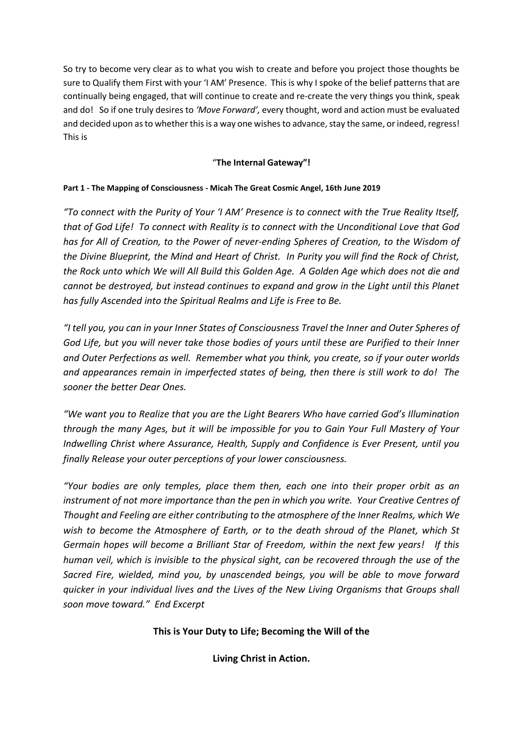So try to become very clear as to what you wish to create and before you project those thoughts be sure to Qualify them First with your 'I AM' Presence. This is why I spoke of the belief patterns that are continually being engaged, that will continue to create and re-create the very things you think, speak and do! So if one truly desires to *'Move Forward',* every thought, word and action must be evaluated and decided upon as to whether this is a way one wishes to advance, stay the same, or indeed, regress! This is

## "**The Internal Gateway"!**

## **Part 1 - The Mapping of Consciousness - Micah The Great Cosmic Angel, 16th June 2019**

*"To connect with the Purity of Your 'I AM' Presence is to connect with the True Reality Itself, that of God Life! To connect with Reality is to connect with the Unconditional Love that God has for All of Creation, to the Power of never-ending Spheres of Creation, to the Wisdom of the Divine Blueprint, the Mind and Heart of Christ. In Purity you will find the Rock of Christ, the Rock unto which We will All Build this Golden Age. A Golden Age which does not die and cannot be destroyed, but instead continues to expand and grow in the Light until this Planet has fully Ascended into the Spiritual Realms and Life is Free to Be.*

*"I tell you, you can in your Inner States of Consciousness Travel the Inner and Outer Spheres of God Life, but you will never take those bodies of yours until these are Purified to their Inner and Outer Perfections as well. Remember what you think, you create, so if your outer worlds and appearances remain in imperfected states of being, then there is still work to do! The sooner the better Dear Ones.*

*"We want you to Realize that you are the Light Bearers Who have carried God's Illumination through the many Ages, but it will be impossible for you to Gain Your Full Mastery of Your Indwelling Christ where Assurance, Health, Supply and Confidence is Ever Present, until you finally Release your outer perceptions of your lower consciousness.*

*"Your bodies are only temples, place them then, each one into their proper orbit as an instrument of not more importance than the pen in which you write. Your Creative Centres of Thought and Feeling are either contributing to the atmosphere of the Inner Realms, which We wish to become the Atmosphere of Earth, or to the death shroud of the Planet, which St Germain hopes will become a Brilliant Star of Freedom, within the next few years! If this human veil, which is invisible to the physical sight, can be recovered through the use of the Sacred Fire, wielded, mind you, by unascended beings, you will be able to move forward quicker in your individual lives and the Lives of the New Living Organisms that Groups shall soon move toward." End Excerpt*

## **This is Your Duty to Life; Becoming the Will of the**

**Living Christ in Action.**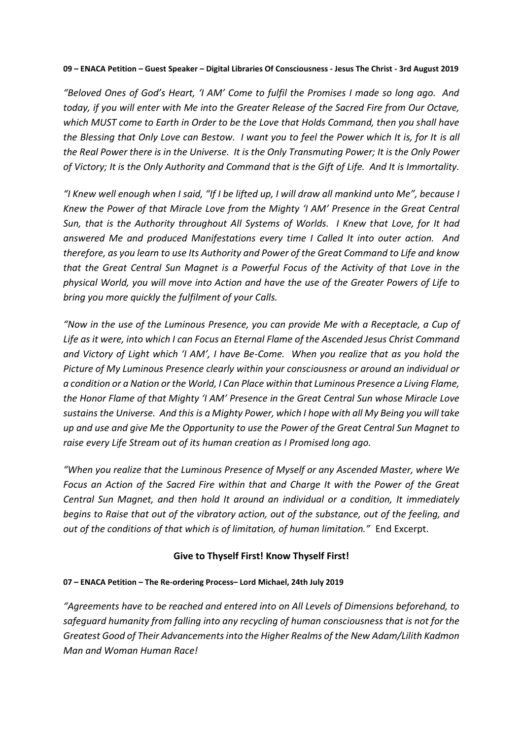#### **09 – ENACA Petition – Guest Speaker – Digital Libraries Of Consciousness - Jesus The Christ - 3rd August 2019**

*"Beloved Ones of God's Heart, 'I AM' Come to fulfil the Promises I made so long ago. And today, if you will enter with Me into the Greater Release of the Sacred Fire from Our Octave, which MUST come to Earth in Order to be the Love that Holds Command, then you shall have the Blessing that Only Love can Bestow. I want you to feel the Power which It is, for It is all the Real Power there is in the Universe. It is the Only Transmuting Power; It is the Only Power of Victory; It is the Only Authority and Command that is the Gift of Life. And It is Immortality.*

*"I Knew well enough when I said, "If I be lifted up, I will draw all mankind unto Me", because I Knew the Power of that Miracle Love from the Mighty 'I AM' Presence in the Great Central Sun, that is the Authority throughout All Systems of Worlds. I Knew that Love, for It had answered Me and produced Manifestations every time I Called It into outer action. And therefore, as you learn to use Its Authority and Power of the Great Command to Life and know that the Great Central Sun Magnet is a Powerful Focus of the Activity of that Love in the physical World, you will move into Action and have the use of the Greater Powers of Life to bring you more quickly the fulfilment of your Calls.* 

*"Now in the use of the Luminous Presence, you can provide Me with a Receptacle, a Cup of Life as it were, into which I can Focus an Eternal Flame of the Ascended Jesus Christ Command and Victory of Light which 'I AM', I have Be-Come. When you realize that as you hold the Picture of My Luminous Presence clearly within your consciousness or around an individual or a condition or a Nation or the World, I Can Place within that Luminous Presence a Living Flame, the Honor Flame of that Mighty 'I AM' Presence in the Great Central Sun whose Miracle Love sustains the Universe. And this is a Mighty Power, which I hope with all My Being you will take up and use and give Me the Opportunity to use the Power of the Great Central Sun Magnet to raise every Life Stream out of its human creation as I Promised long ago.* 

*"When you realize that the Luminous Presence of Myself or any Ascended Master, where We Focus an Action of the Sacred Fire within that and Charge It with the Power of the Great Central Sun Magnet, and then hold It around an individual or a condition, It immediately begins to Raise that out of the vibratory action, out of the substance, out of the feeling, and out of the conditions of that which is of limitation, of human limitation."* End Excerpt.

## **Give to Thyself First! Know Thyself First!**

## **07 – ENACA Petition – The Re-ordering Process– Lord Michael, 24th July 2019**

*"Agreements have to be reached and entered into on All Levels of Dimensions beforehand, to safeguard humanity from falling into any recycling of human consciousness that is not for the Greatest Good of Their Advancements into the Higher Realms of the New Adam/Lilith Kadmon Man and Woman Human Race!*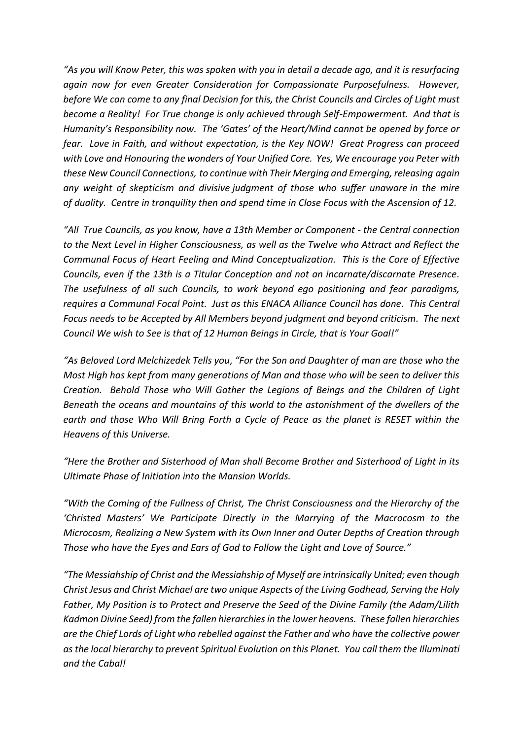*"As you will Know Peter, this was spoken with you in detail a decade ago, and it is resurfacing again now for even Greater Consideration for Compassionate Purposefulness. However, before We can come to any final Decision for this, the Christ Councils and Circles of Light must become a Reality! For True change is only achieved through Self-Empowerment. And that is Humanity's Responsibility now. The 'Gates' of the Heart/Mind cannot be opened by force or fear. Love in Faith, and without expectation, is the Key NOW! Great Progress can proceed with Love and Honouring the wonders of Your Unified Core. Yes, We encourage you Peter with these New Council Connections, to continue with Their Merging and Emerging, releasing again any weight of skepticism and divisive judgment of those who suffer unaware in the mire of duality. Centre in tranquility then and spend time in Close Focus with the Ascension of 12.* 

*"All True Councils, as you know, have a 13th Member or Component - the Central connection to the Next Level in Higher Consciousness, as well as the Twelve who Attract and Reflect the Communal Focus of Heart Feeling and Mind Conceptualization. This is the Core of Effective Councils, even if the 13th is a Titular Conception and not an incarnate/discarnate Presence. The usefulness of all such Councils, to work beyond ego positioning and fear paradigms, requires a Communal Focal Point. Just as this ENACA Alliance Council has done. This Central Focus needs to be Accepted by All Members beyond judgment and beyond criticism. The next Council We wish to See is that of 12 Human Beings in Circle, that is Your Goal!"*

*"As Beloved Lord Melchizedek Tells you*, *"For the Son and Daughter of man are those who the Most High has kept from many generations of Man and those who will be seen to deliver this Creation. Behold Those who Will Gather the Legions of Beings and the Children of Light Beneath the oceans and mountains of this world to the astonishment of the dwellers of the earth and those Who Will Bring Forth a Cycle of Peace as the planet is RESET within the Heavens of this Universe.* 

*"Here the Brother and Sisterhood of Man shall Become Brother and Sisterhood of Light in its Ultimate Phase of Initiation into the Mansion Worlds.*

*"With the Coming of the Fullness of Christ, The Christ Consciousness and the Hierarchy of the 'Christed Masters' We Participate Directly in the Marrying of the Macrocosm to the Microcosm, Realizing a New System with its Own Inner and Outer Depths of Creation through Those who have the Eyes and Ears of God to Follow the Light and Love of Source."*

*"The Messiahship of Christ and the Messiahship of Myself are intrinsically United; even though Christ Jesus and Christ Michael are two unique Aspects of the Living Godhead, Serving the Holy Father, My Position is to Protect and Preserve the Seed of the Divine Family (the Adam/Lilith Kadmon Divine Seed) from the fallen hierarchies in the lower heavens. These fallen hierarchies are the Chief Lords of Light who rebelled against the Father and who have the collective power as the local hierarchy to prevent Spiritual Evolution on this Planet. You call them the Illuminati and the Cabal!*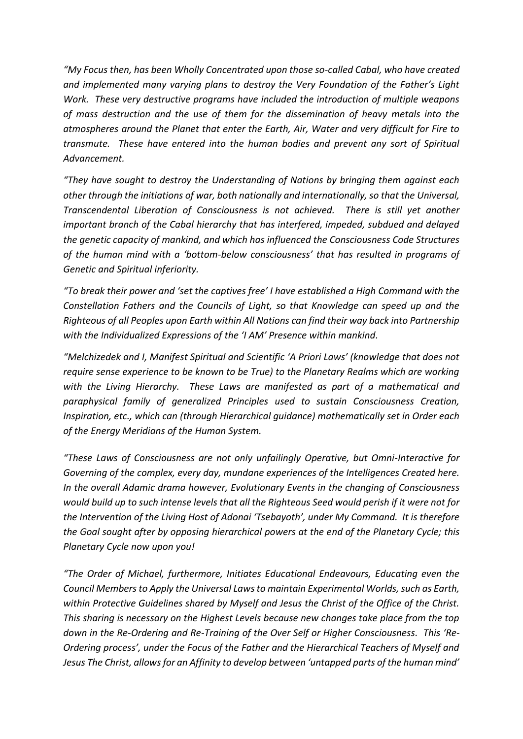*"My Focus then, has been Wholly Concentrated upon those so-called Cabal, who have created and implemented many varying plans to destroy the Very Foundation of the Father's Light Work. These very destructive programs have included the introduction of multiple weapons of mass destruction and the use of them for the dissemination of heavy metals into the atmospheres around the Planet that enter the Earth, Air, Water and very difficult for Fire to transmute. These have entered into the human bodies and prevent any sort of Spiritual Advancement.*

*"They have sought to destroy the Understanding of Nations by bringing them against each other through the initiations of war, both nationally and internationally, so that the Universal, Transcendental Liberation of Consciousness is not achieved. There is still yet another important branch of the Cabal hierarchy that has interfered, impeded, subdued and delayed the genetic capacity of mankind, and which has influenced the Consciousness Code Structures of the human mind with a 'bottom-below consciousness' that has resulted in programs of Genetic and Spiritual inferiority.* 

*"To break their power and 'set the captives free' I have established a High Command with the Constellation Fathers and the Councils of Light, so that Knowledge can speed up and the Righteous of all Peoples upon Earth within All Nations can find their way back into Partnership with the Individualized Expressions of the 'I AM' Presence within mankind.* 

*"Melchizedek and I, Manifest Spiritual and Scientific 'A Priori Laws' (knowledge that does not require sense experience to be known to be True) to the Planetary Realms which are working with the Living Hierarchy. These Laws are manifested as part of a mathematical and paraphysical family of generalized Principles used to sustain Consciousness Creation, Inspiration, etc., which can (through Hierarchical guidance) mathematically set in Order each of the Energy Meridians of the Human System.* 

*"These Laws of Consciousness are not only unfailingly Operative, but Omni-Interactive for Governing of the complex, every day, mundane experiences of the Intelligences Created here. In the overall Adamic drama however, Evolutionary Events in the changing of Consciousness would build up to such intense levels that all the Righteous Seed would perish if it were not for the Intervention of the Living Host of Adonai 'Tsebayoth', under My Command. It is therefore the Goal sought after by opposing hierarchical powers at the end of the Planetary Cycle; this Planetary Cycle now upon you!*

*"The Order of Michael, furthermore, Initiates Educational Endeavours, Educating even the Council Members to Apply the Universal Laws to maintain Experimental Worlds, such as Earth, within Protective Guidelines shared by Myself and Jesus the Christ of the Office of the Christ. This sharing is necessary on the Highest Levels because new changes take place from the top down in the Re-Ordering and Re-Training of the Over Self or Higher Consciousness. This 'Re-Ordering process', under the Focus of the Father and the Hierarchical Teachers of Myself and Jesus The Christ, allows for an Affinity to develop between 'untapped parts of the human mind'*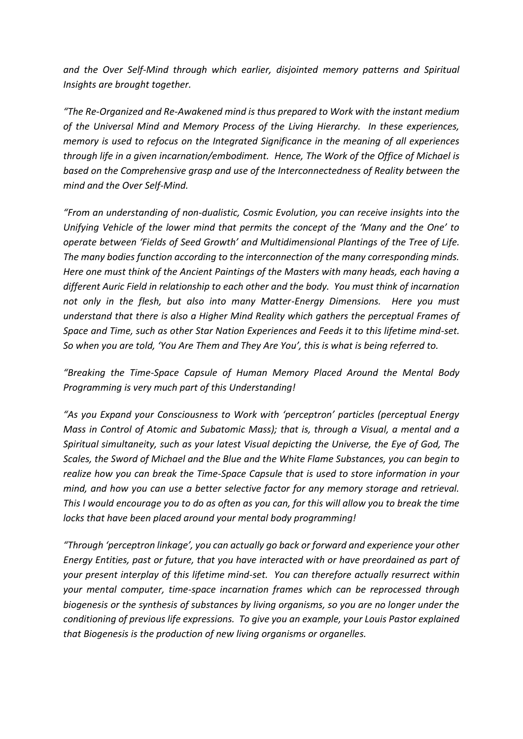*and the Over Self-Mind through which earlier, disjointed memory patterns and Spiritual Insights are brought together.* 

*"The Re-Organized and Re-Awakened mind is thus prepared to Work with the instant medium of the Universal Mind and Memory Process of the Living Hierarchy. In these experiences, memory is used to refocus on the Integrated Significance in the meaning of all experiences through life in a given incarnation/embodiment. Hence, The Work of the Office of Michael is based on the Comprehensive grasp and use of the Interconnectedness of Reality between the mind and the Over Self-Mind.*

*"From an understanding of non-dualistic, Cosmic Evolution, you can receive insights into the Unifying Vehicle of the lower mind that permits the concept of the 'Many and the One' to operate between 'Fields of Seed Growth' and Multidimensional Plantings of the Tree of Life. The many bodies function according to the interconnection of the many corresponding minds. Here one must think of the Ancient Paintings of the Masters with many heads, each having a different Auric Field in relationship to each other and the body. You must think of incarnation not only in the flesh, but also into many Matter-Energy Dimensions. Here you must understand that there is also a Higher Mind Reality which gathers the perceptual Frames of Space and Time, such as other Star Nation Experiences and Feeds it to this lifetime mind-set. So when you are told, 'You Are Them and They Are You', this is what is being referred to.*

*"Breaking the Time-Space Capsule of Human Memory Placed Around the Mental Body Programming is very much part of this Understanding!*

*"As you Expand your Consciousness to Work with 'perceptron' particles (perceptual Energy Mass in Control of Atomic and Subatomic Mass); that is, through a Visual, a mental and a Spiritual simultaneity, such as your latest Visual depicting the Universe, the Eye of God, The Scales, the Sword of Michael and the Blue and the White Flame Substances, you can begin to realize how you can break the Time-Space Capsule that is used to store information in your mind, and how you can use a better selective factor for any memory storage and retrieval. This I would encourage you to do as often as you can, for this will allow you to break the time locks that have been placed around your mental body programming!* 

*"Through 'perceptron linkage', you can actually go back or forward and experience your other Energy Entities, past or future, that you have interacted with or have preordained as part of your present interplay of this lifetime mind-set. You can therefore actually resurrect within your mental computer, time-space incarnation frames which can be reprocessed through biogenesis or the synthesis of substances by living organisms, so you are no longer under the conditioning of previous life expressions. To give you an example, your Louis Pastor explained that Biogenesis is the production of new living organisms or organelles.*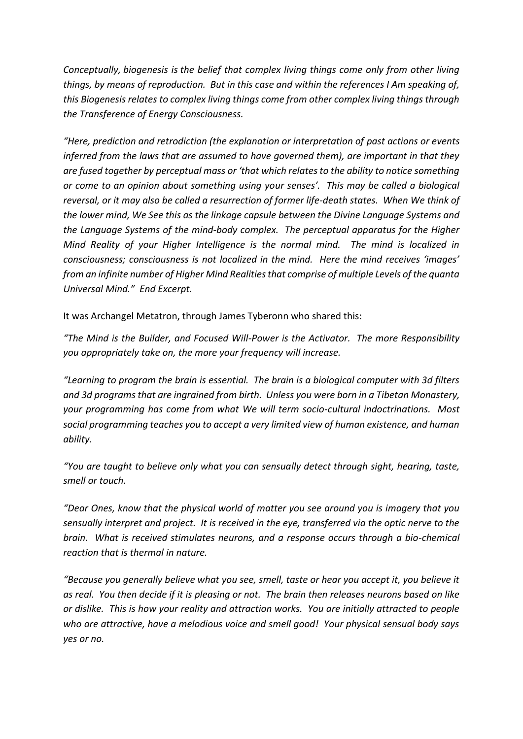*Conceptually, biogenesis is the belief that complex living things come only from other living things, by means of reproduction. But in this case and within the references I Am speaking of, this Biogenesis relates to complex living things come from other complex living things through the Transference of Energy Consciousness.*

"Here, prediction and retrodiction (the explanation or interpretation of past actions or events *inferred from the laws that are assumed to have governed them), are important in that they are fused together by perceptual mass or 'that which relates to the ability to notice something or come to an opinion about something using your senses'. This may be called a biological reversal, or it may also be called a resurrection of former life-death states. When We think of the lower mind, We See this as the linkage capsule between the Divine Language Systems and the Language Systems of the mind-body complex. The perceptual apparatus for the Higher Mind Reality of your Higher Intelligence is the normal mind. The mind is localized in consciousness; consciousness is not localized in the mind. Here the mind receives 'images' from an infinite number of Higher Mind Realities that comprise of multiple Levels of the quanta Universal Mind." End Excerpt.*

It was Archangel Metatron, through James Tyberonn who shared this:

*"The Mind is the Builder, and Focused Will-Power is the Activator. The more Responsibility you appropriately take on, the more your frequency will increase.*

*"Learning to program the brain is essential. The brain is a biological computer with 3d filters and 3d programs that are ingrained from birth. Unless you were born in a Tibetan Monastery, your programming has come from what We will term socio-cultural indoctrinations. Most social programming teaches you to accept a very limited view of human existence, and human ability.*

*"You are taught to believe only what you can sensually detect through sight, hearing, taste, smell or touch.*

*"Dear Ones, know that the physical world of matter you see around you is imagery that you sensually interpret and project. It is received in the eye, transferred via the optic nerve to the brain. What is received stimulates neurons, and a response occurs through a bio-chemical reaction that is thermal in nature.*

*"Because you generally believe what you see, smell, taste or hear you accept it, you believe it as real. You then decide if it is pleasing or not. The brain then releases neurons based on like or dislike. This is how your reality and attraction works. You are initially attracted to people who are attractive, have a melodious voice and smell good! Your physical sensual body says yes or no.*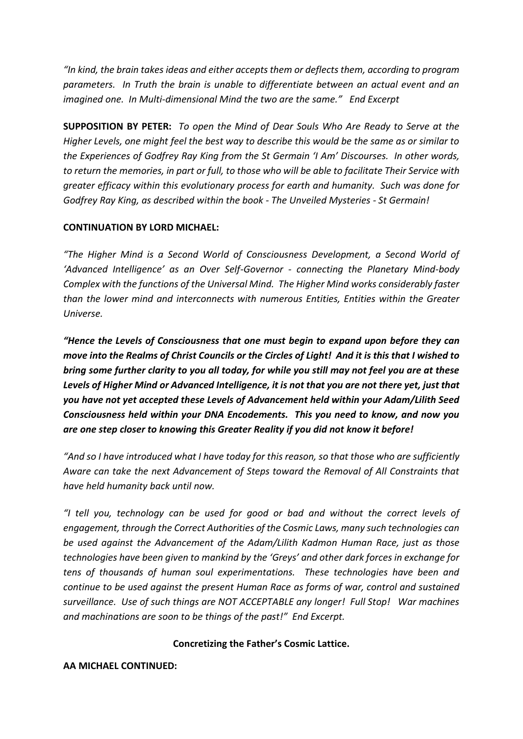*"In kind, the brain takes ideas and either accepts them or deflects them, according to program parameters. In Truth the brain is unable to differentiate between an actual event and an imagined one. In Multi-dimensional Mind the two are the same." End Excerpt*

**SUPPOSITION BY PETER:** *To open the Mind of Dear Souls Who Are Ready to Serve at the Higher Levels, one might feel the best way to describe this would be the same as or similar to the Experiences of Godfrey Ray King from the St Germain 'I Am' Discourses. In other words, to return the memories, in part or full, to those who will be able to facilitate Their Service with greater efficacy within this evolutionary process for earth and humanity. Such was done for Godfrey Ray King, as described within the book - The Unveiled Mysteries - St Germain!*

## **CONTINUATION BY LORD MICHAEL:**

*"The Higher Mind is a Second World of Consciousness Development, a Second World of 'Advanced Intelligence' as an Over Self-Governor - connecting the Planetary Mind-body Complex with the functions of the Universal Mind. The Higher Mind works considerably faster than the lower mind and interconnects with numerous Entities, Entities within the Greater Universe.* 

*"Hence the Levels of Consciousness that one must begin to expand upon before they can move into the Realms of Christ Councils or the Circles of Light! And it is this that I wished to bring some further clarity to you all today, for while you still may not feel you are at these Levels of Higher Mind or Advanced Intelligence, it is not that you are not there yet, just that you have not yet accepted these Levels of Advancement held within your Adam/Lilith Seed Consciousness held within your DNA Encodements. This you need to know, and now you are one step closer to knowing this Greater Reality if you did not know it before!*

*"And so I have introduced what I have today for this reason, so that those who are sufficiently Aware can take the next Advancement of Steps toward the Removal of All Constraints that have held humanity back until now.* 

*"I tell you, technology can be used for good or bad and without the correct levels of engagement, through the Correct Authorities of the Cosmic Laws, many such technologies can be used against the Advancement of the Adam/Lilith Kadmon Human Race, just as those technologies have been given to mankind by the 'Greys' and other dark forces in exchange for tens of thousands of human soul experimentations. These technologies have been and continue to be used against the present Human Race as forms of war, control and sustained surveillance. Use of such things are NOT ACCEPTABLE any longer! Full Stop! War machines and machinations are soon to be things of the past!" End Excerpt.*

## **Concretizing the Father's Cosmic Lattice.**

**AA MICHAEL CONTINUED:**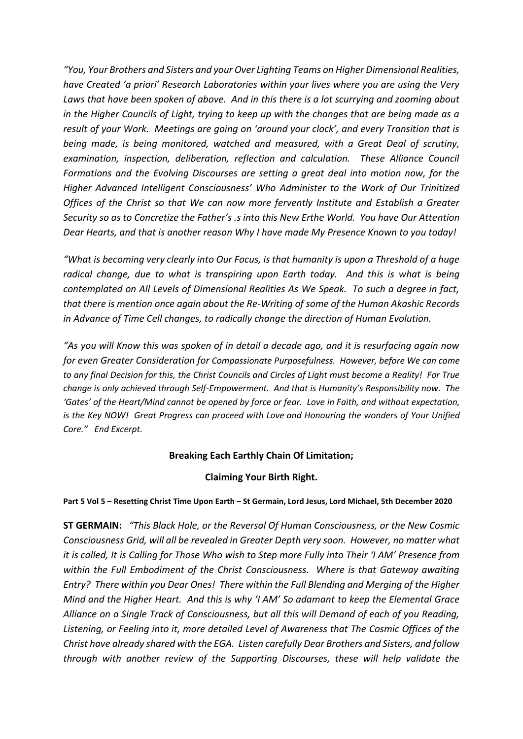*"You, Your Brothers and Sisters and your Over Lighting Teams on Higher Dimensional Realities, have Created 'a priori' Research Laboratories within your lives where you are using the Very Laws that have been spoken of above. And in this there is a lot scurrying and zooming about in the Higher Councils of Light, trying to keep up with the changes that are being made as a result of your Work. Meetings are going on 'around your clock', and every Transition that is being made, is being monitored, watched and measured, with a Great Deal of scrutiny, examination, inspection, deliberation, reflection and calculation. These Alliance Council Formations and the Evolving Discourses are setting a great deal into motion now, for the Higher Advanced Intelligent Consciousness' Who Administer to the Work of Our Trinitized Offices of the Christ so that We can now more fervently Institute and Establish a Greater Security so as to Concretize the Father's .s into this New Erthe World. You have Our Attention Dear Hearts, and that is another reason Why I have made My Presence Known to you today!*

*"What is becoming very clearly into Our Focus, is that humanity is upon a Threshold of a huge radical change, due to what is transpiring upon Earth today. And this is what is being contemplated on All Levels of Dimensional Realities As We Speak. To such a degree in fact, that there is mention once again about the Re-Writing of some of the Human Akashic Records in Advance of Time Cell changes, to radically change the direction of Human Evolution.*

*"As you will Know this was spoken of in detail a decade ago, and it is resurfacing again now for even Greater Consideration for Compassionate Purposefulness. However, before We can come to any final Decision for this, the Christ Councils and Circles of Light must become a Reality! For True change is only achieved through Self-Empowerment. And that is Humanity's Responsibility now. The*  'Gates' of the Heart/Mind cannot be opened by force or fear. Love in Faith, and without expectation, *is the Key NOW! Great Progress can proceed with Love and Honouring the wonders of Your Unified Core." End Excerpt.*

## **Breaking Each Earthly Chain Of Limitation;**

## **Claiming Your Birth Right.**

**Part 5 Vol 5 – Resetting Christ Time Upon Earth – St Germain, Lord Jesus, Lord Michael, 5th December 2020**

**ST GERMAIN:** *"This Black Hole, or the Reversal Of Human Consciousness, or the New Cosmic Consciousness Grid, will all be revealed in Greater Depth very soon. However, no matter what it is called, It is Calling for Those Who wish to Step more Fully into Their 'I AM' Presence from within the Full Embodiment of the Christ Consciousness. Where is that Gateway awaiting Entry? There within you Dear Ones! There within the Full Blending and Merging of the Higher Mind and the Higher Heart. And this is why 'I AM' So adamant to keep the Elemental Grace Alliance on a Single Track of Consciousness, but all this will Demand of each of you Reading, Listening, or Feeling into it, more detailed Level of Awareness that The Cosmic Offices of the Christ have already shared with the EGA. Listen carefully Dear Brothers and Sisters, and follow through with another review of the Supporting Discourses, these will help validate the*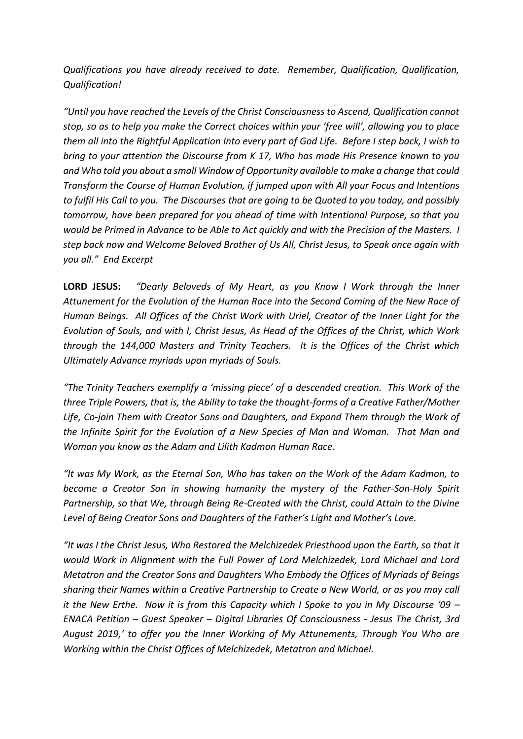*Qualifications you have already received to date. Remember, Qualification, Qualification, Qualification!* 

*"Until you have reached the Levels of the Christ Consciousness to Ascend, Qualification cannot stop, so as to help you make the Correct choices within your 'free will', allowing you to place them all into the Rightful Application Into every part of God Life. Before I step back, I wish to bring to your attention the Discourse from K 17, Who has made His Presence known to you and Who told you about a small Window of Opportunity available to make a change that could Transform the Course of Human Evolution, if jumped upon with All your Focus and Intentions to fulfil His Call to you. The Discourses that are going to be Quoted to you today, and possibly tomorrow, have been prepared for you ahead of time with Intentional Purpose, so that you would be Primed in Advance to be Able to Act quickly and with the Precision of the Masters. I step back now and Welcome Beloved Brother of Us All, Christ Jesus, to Speak once again with you all." End Excerpt*

**LORD JESUS:** *"Dearly Beloveds of My Heart, as you Know I Work through the Inner Attunement for the Evolution of the Human Race into the Second Coming of the New Race of Human Beings. All Offices of the Christ Work with Uriel, Creator of the Inner Light for the Evolution of Souls, and with I, Christ Jesus, As Head of the Offices of the Christ, which Work through the 144,000 Masters and Trinity Teachers. It is the Offices of the Christ which Ultimately Advance myriads upon myriads of Souls.*

*"The Trinity Teachers exemplify a 'missing piece' of a descended creation. This Work of the three Triple Powers, that is, the Ability to take the thought-forms of a Creative Father/Mother Life, Co-join Them with Creator Sons and Daughters, and Expand Them through the Work of the Infinite Spirit for the Evolution of a New Species of Man and Woman. That Man and Woman you know as the Adam and Lilith Kadmon Human Race.*

*"It was My Work, as the Eternal Son, Who has taken on the Work of the Adam Kadmon, to become a Creator Son in showing humanity the mystery of the Father-Son-Holy Spirit Partnership, so that We, through Being Re-Created with the Christ, could Attain to the Divine Level of Being Creator Sons and Daughters of the Father's Light and Mother's Love.*

*"It was I the Christ Jesus, Who Restored the Melchizedek Priesthood upon the Earth, so that it would Work in Alignment with the Full Power of Lord Melchizedek, Lord Michael and Lord Metatron and the Creator Sons and Daughters Who Embody the Offices of Myriads of Beings sharing their Names within a Creative Partnership to Create a New World, or as you may call it the New Erthe. Now it is from this Capacity which I Spoke to you in My Discourse '09 – ENACA Petition – Guest Speaker – Digital Libraries Of Consciousness - Jesus The Christ, 3rd August 2019,' to offer you the Inner Working of My Attunements, Through You Who are Working within the Christ Offices of Melchizedek, Metatron and Michael.*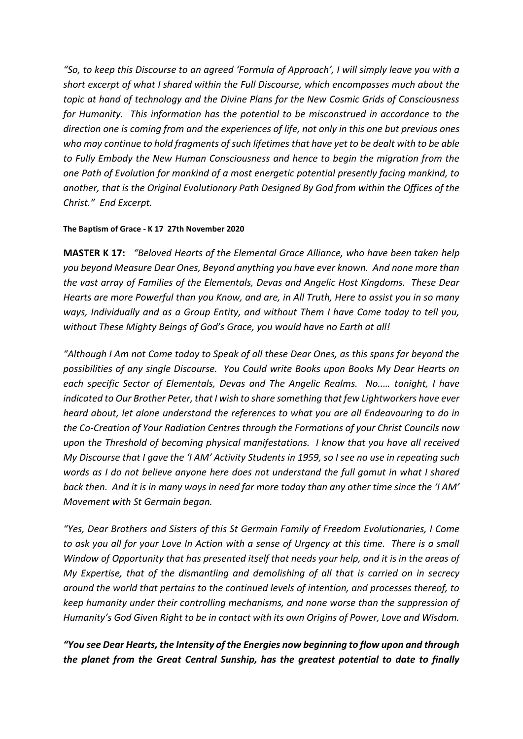*"So, to keep this Discourse to an agreed 'Formula of Approach', I will simply leave you with a short excerpt of what I shared within the Full Discourse, which encompasses much about the topic at hand of technology and the Divine Plans for the New Cosmic Grids of Consciousness for Humanity. This information has the potential to be misconstrued in accordance to the direction one is coming from and the experiences of life, not only in this one but previous ones who may continue to hold fragments of such lifetimes that have yet to be dealt with to be able to Fully Embody the New Human Consciousness and hence to begin the migration from the one Path of Evolution for mankind of a most energetic potential presently facing mankind, to another, that is the Original Evolutionary Path Designed By God from within the Offices of the Christ." End Excerpt.*

## **The Baptism of Grace - K 17 27th November 2020**

**MASTER K 17:** *"Beloved Hearts of the Elemental Grace Alliance, who have been taken help you beyond Measure Dear Ones, Beyond anything you have ever known. And none more than the vast array of Families of the Elementals, Devas and Angelic Host Kingdoms. These Dear Hearts are more Powerful than you Know, and are, in All Truth, Here to assist you in so many ways, Individually and as a Group Entity, and without Them I have Come today to tell you, without These Mighty Beings of God's Grace, you would have no Earth at all!*

*"Although I Am not Come today to Speak of all these Dear Ones, as this spans far beyond the possibilities of any single Discourse. You Could write Books upon Books My Dear Hearts on each specific Sector of Elementals, Devas and The Angelic Realms. No..… tonight, I have indicated to Our Brother Peter, that I wish to share something that few Lightworkers have ever heard about, let alone understand the references to what you are all Endeavouring to do in the Co-Creation of Your Radiation Centres through the Formations of your Christ Councils now upon the Threshold of becoming physical manifestations. I know that you have all received My Discourse that I gave the 'I AM' Activity Students in 1959, so I see no use in repeating such words as I do not believe anyone here does not understand the full gamut in what I shared back then. And it is in many ways in need far more today than any other time since the 'I AM' Movement with St Germain began.*

*"Yes, Dear Brothers and Sisters of this St Germain Family of Freedom Evolutionaries, I Come to ask you all for your Love In Action with a sense of Urgency at this time. There is a small Window of Opportunity that has presented itself that needs your help, and it is in the areas of My Expertise, that of the dismantling and demolishing of all that is carried on in secrecy around the world that pertains to the continued levels of intention, and processes thereof, to keep humanity under their controlling mechanisms, and none worse than the suppression of Humanity's God Given Right to be in contact with its own Origins of Power, Love and Wisdom.* 

*"You see Dear Hearts, the Intensity of the Energies now beginning to flow upon and through the planet from the Great Central Sunship, has the greatest potential to date to finally*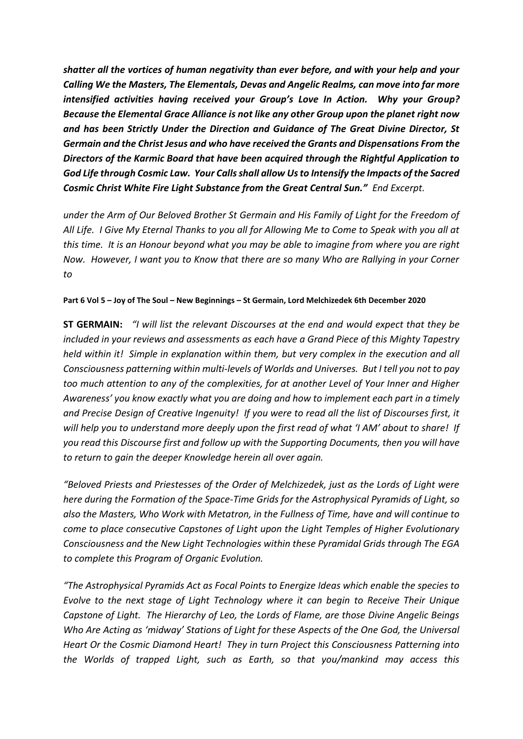*shatter all the vortices of human negativity than ever before, and with your help and your Calling We the Masters, The Elementals, Devas and Angelic Realms, can move into far more intensified activities having received your Group's Love In Action. Why your Group? Because the Elemental Grace Alliance is not like any other Group upon the planet right now and has been Strictly Under the Direction and Guidance of The Great Divine Director, St Germain and the Christ Jesus and who have received the Grants and Dispensations From the Directors of the Karmic Board that have been acquired through the Rightful Application to God Life through Cosmic Law. Your Calls shall allow Us to Intensify the Impacts of the Sacred Cosmic Christ White Fire Light Substance from the Great Central Sun." End Excerpt.*

*under the Arm of Our Beloved Brother St Germain and His Family of Light for the Freedom of All Life. I Give My Eternal Thanks to you all for Allowing Me to Come to Speak with you all at this time. It is an Honour beyond what you may be able to imagine from where you are right Now. However, I want you to Know that there are so many Who are Rallying in your Corner to* 

### **Part 6 Vol 5 – Joy of The Soul – New Beginnings – St Germain, Lord Melchizedek 6th December 2020**

**ST GERMAIN:** *"I will list the relevant Discourses at the end and would expect that they be included in your reviews and assessments as each have a Grand Piece of this Mighty Tapestry held within it! Simple in explanation within them, but very complex in the execution and all Consciousness patterning within multi-levels of Worlds and Universes. But I tell you not to pay too much attention to any of the complexities, for at another Level of Your Inner and Higher Awareness' you know exactly what you are doing and how to implement each part in a timely and Precise Design of Creative Ingenuity! If you were to read all the list of Discourses first, it will help you to understand more deeply upon the first read of what 'I AM' about to share! If you read this Discourse first and follow up with the Supporting Documents, then you will have to return to gain the deeper Knowledge herein all over again.* 

*"Beloved Priests and Priestesses of the Order of Melchizedek, just as the Lords of Light were here during the Formation of the Space-Time Grids for the Astrophysical Pyramids of Light, so also the Masters, Who Work with Metatron, in the Fullness of Time, have and will continue to come to place consecutive Capstones of Light upon the Light Temples of Higher Evolutionary Consciousness and the New Light Technologies within these Pyramidal Grids through The EGA to complete this Program of Organic Evolution.* 

*"The Astrophysical Pyramids Act as Focal Points to Energize Ideas which enable the species to Evolve to the next stage of Light Technology where it can begin to Receive Their Unique Capstone of Light. The Hierarchy of Leo, the Lords of Flame, are those Divine Angelic Beings Who Are Acting as 'midway' Stations of Light for these Aspects of the One God, the Universal Heart Or the Cosmic Diamond Heart! They in turn Project this Consciousness Patterning into the Worlds of trapped Light, such as Earth, so that you/mankind may access this*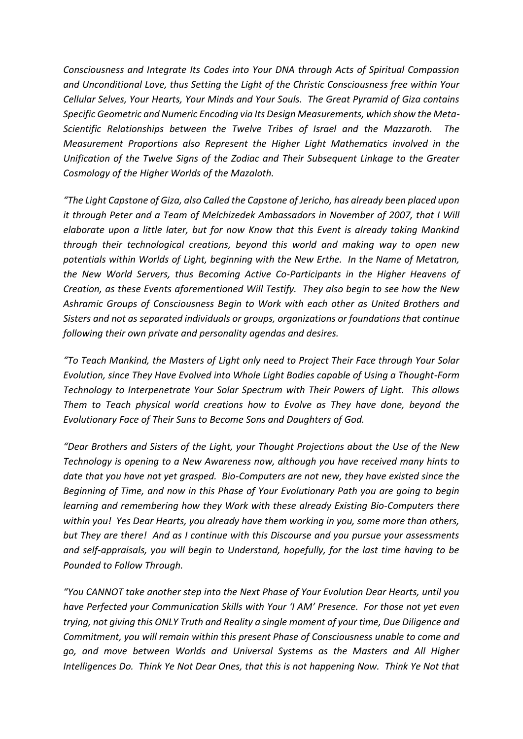*Consciousness and Integrate Its Codes into Your DNA through Acts of Spiritual Compassion and Unconditional Love, thus Setting the Light of the Christic Consciousness free within Your Cellular Selves, Your Hearts, Your Minds and Your Souls. The Great Pyramid of Giza contains Specific Geometric and Numeric Encoding via Its Design Measurements, which show the Meta-Scientific Relationships between the Twelve Tribes of Israel and the Mazzaroth. The Measurement Proportions also Represent the Higher Light Mathematics involved in the Unification of the Twelve Signs of the Zodiac and Their Subsequent Linkage to the Greater Cosmology of the Higher Worlds of the Mazaloth.*

*"The Light Capstone of Giza, also Called the Capstone of Jericho, has already been placed upon it through Peter and a Team of Melchizedek Ambassadors in November of 2007, that I Will elaborate upon a little later, but for now Know that this Event is already taking Mankind through their technological creations, beyond this world and making way to open new potentials within Worlds of Light, beginning with the New Erthe. In the Name of Metatron, the New World Servers, thus Becoming Active Co-Participants in the Higher Heavens of Creation, as these Events aforementioned Will Testify. They also begin to see how the New Ashramic Groups of Consciousness Begin to Work with each other as United Brothers and Sisters and not as separated individuals or groups, organizations or foundations that continue following their own private and personality agendas and desires.* 

*"To Teach Mankind, the Masters of Light only need to Project Their Face through Your Solar Evolution, since They Have Evolved into Whole Light Bodies capable of Using a Thought-Form Technology to Interpenetrate Your Solar Spectrum with Their Powers of Light. This allows Them to Teach physical world creations how to Evolve as They have done, beyond the Evolutionary Face of Their Suns to Become Sons and Daughters of God.* 

*"Dear Brothers and Sisters of the Light, your Thought Projections about the Use of the New Technology is opening to a New Awareness now, although you have received many hints to date that you have not yet grasped. Bio-Computers are not new, they have existed since the Beginning of Time, and now in this Phase of Your Evolutionary Path you are going to begin learning and remembering how they Work with these already Existing Bio-Computers there within you! Yes Dear Hearts, you already have them working in you, some more than others, but They are there! And as I continue with this Discourse and you pursue your assessments and self-appraisals, you will begin to Understand, hopefully, for the last time having to be Pounded to Follow Through.* 

*"You CANNOT take another step into the Next Phase of Your Evolution Dear Hearts, until you have Perfected your Communication Skills with Your 'I AM' Presence. For those not yet even trying, not giving this ONLY Truth and Reality a single moment of your time, Due Diligence and Commitment, you will remain within this present Phase of Consciousness unable to come and go, and move between Worlds and Universal Systems as the Masters and All Higher Intelligences Do. Think Ye Not Dear Ones, that this is not happening Now. Think Ye Not that*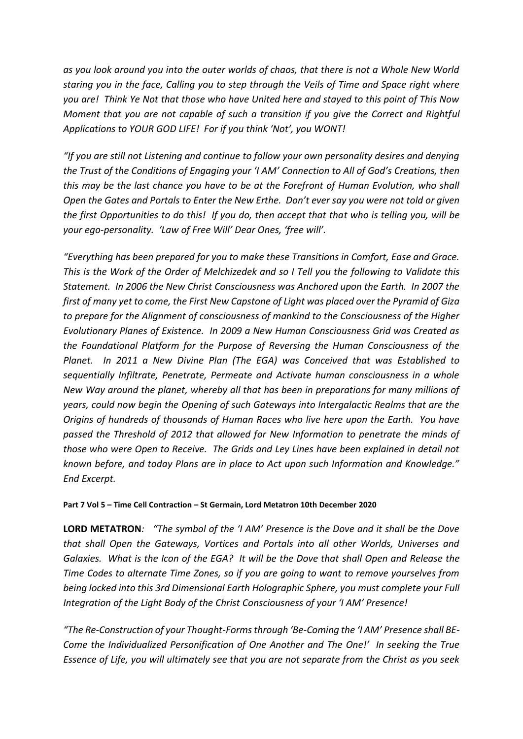*as you look around you into the outer worlds of chaos, that there is not a Whole New World staring you in the face, Calling you to step through the Veils of Time and Space right where you are! Think Ye Not that those who have United here and stayed to this point of This Now Moment that you are not capable of such a transition if you give the Correct and Rightful Applications to YOUR GOD LIFE! For if you think 'Not', you WONT!*

*"If you are still not Listening and continue to follow your own personality desires and denying the Trust of the Conditions of Engaging your 'I AM' Connection to All of God's Creations, then this may be the last chance you have to be at the Forefront of Human Evolution, who shall Open the Gates and Portals to Enter the New Erthe. Don't ever say you were not told or given the first Opportunities to do this! If you do, then accept that that who is telling you, will be your ego-personality. 'Law of Free Will' Dear Ones, 'free will'.*

*"Everything has been prepared for you to make these Transitions in Comfort, Ease and Grace. This is the Work of the Order of Melchizedek and so I Tell you the following to Validate this Statement. In 2006 the New Christ Consciousness was Anchored upon the Earth. In 2007 the first of many yet to come, the First New Capstone of Light was placed over the Pyramid of Giza to prepare for the Alignment of consciousness of mankind to the Consciousness of the Higher Evolutionary Planes of Existence. In 2009 a New Human Consciousness Grid was Created as the Foundational Platform for the Purpose of Reversing the Human Consciousness of the Planet. In 2011 a New Divine Plan (The EGA) was Conceived that was Established to sequentially Infiltrate, Penetrate, Permeate and Activate human consciousness in a whole New Way around the planet, whereby all that has been in preparations for many millions of years, could now begin the Opening of such Gateways into Intergalactic Realms that are the Origins of hundreds of thousands of Human Races who live here upon the Earth. You have passed the Threshold of 2012 that allowed for New Information to penetrate the minds of those who were Open to Receive. The Grids and Ley Lines have been explained in detail not known before, and today Plans are in place to Act upon such Information and Knowledge." End Excerpt.*

**Part 7 Vol 5 – Time Cell Contraction – St Germain, Lord Metatron 10th December 2020**

**LORD METATRON***: "The symbol of the 'I AM' Presence is the Dove and it shall be the Dove that shall Open the Gateways, Vortices and Portals into all other Worlds, Universes and Galaxies. What is the Icon of the EGA? It will be the Dove that shall Open and Release the Time Codes to alternate Time Zones, so if you are going to want to remove yourselves from being locked into this 3rd Dimensional Earth Holographic Sphere, you must complete your Full Integration of the Light Body of the Christ Consciousness of your 'I AM' Presence!*

*"The Re-Construction of your Thought-Forms through 'Be-Coming the 'I AM' Presence shall BE-Come the Individualized Personification of One Another and The One!' In seeking the True Essence of Life, you will ultimately see that you are not separate from the Christ as you seek*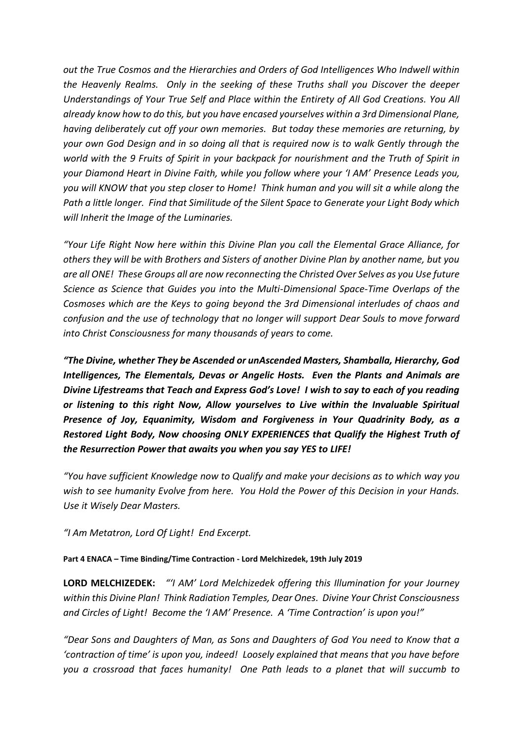*out the True Cosmos and the Hierarchies and Orders of God Intelligences Who Indwell within the Heavenly Realms. Only in the seeking of these Truths shall you Discover the deeper Understandings of Your True Self and Place within the Entirety of All God Creations. You All already know how to do this, but you have encased yourselves within a 3rd Dimensional Plane, having deliberately cut off your own memories. But today these memories are returning, by your own God Design and in so doing all that is required now is to walk Gently through the world with the 9 Fruits of Spirit in your backpack for nourishment and the Truth of Spirit in your Diamond Heart in Divine Faith, while you follow where your 'I AM' Presence Leads you, you will KNOW that you step closer to Home! Think human and you will sit a while along the Path a little longer. Find that Similitude of the Silent Space to Generate your Light Body which will Inherit the Image of the Luminaries.*

*"Your Life Right Now here within this Divine Plan you call the Elemental Grace Alliance, for others they will be with Brothers and Sisters of another Divine Plan by another name, but you are all ONE! These Groups all are now reconnecting the Christed Over Selves as you Use future Science as Science that Guides you into the Multi-Dimensional Space-Time Overlaps of the Cosmoses which are the Keys to going beyond the 3rd Dimensional interludes of chaos and confusion and the use of technology that no longer will support Dear Souls to move forward into Christ Consciousness for many thousands of years to come.*

*"The Divine, whether They be Ascended or unAscended Masters, Shamballa, Hierarchy, God Intelligences, The Elementals, Devas or Angelic Hosts. Even the Plants and Animals are Divine Lifestreams that Teach and Express God's Love! I wish to say to each of you reading or listening to this right Now, Allow yourselves to Live within the Invaluable Spiritual Presence of Joy, Equanimity, Wisdom and Forgiveness in Your Quadrinity Body, as a Restored Light Body, Now choosing ONLY EXPERIENCES that Qualify the Highest Truth of the Resurrection Power that awaits you when you say YES to LIFE!*

*"You have sufficient Knowledge now to Qualify and make your decisions as to which way you wish to see humanity Evolve from here. You Hold the Power of this Decision in your Hands. Use it Wisely Dear Masters.*

*"I Am Metatron, Lord Of Light! End Excerpt.* 

## **Part 4 ENACA – Time Binding/Time Contraction - Lord Melchizedek, 19th July 2019**

**LORD MELCHIZEDEK:** *"'I AM' Lord Melchizedek offering this Illumination for your Journey within this Divine Plan! Think Radiation Temples, Dear Ones. Divine Your Christ Consciousness and Circles of Light! Become the 'I AM' Presence. A 'Time Contraction' is upon you!"* 

*"Dear Sons and Daughters of Man, as Sons and Daughters of God You need to Know that a 'contraction of time' is upon you, indeed! Loosely explained that means that you have before you a crossroad that faces humanity! One Path leads to a planet that will succumb to*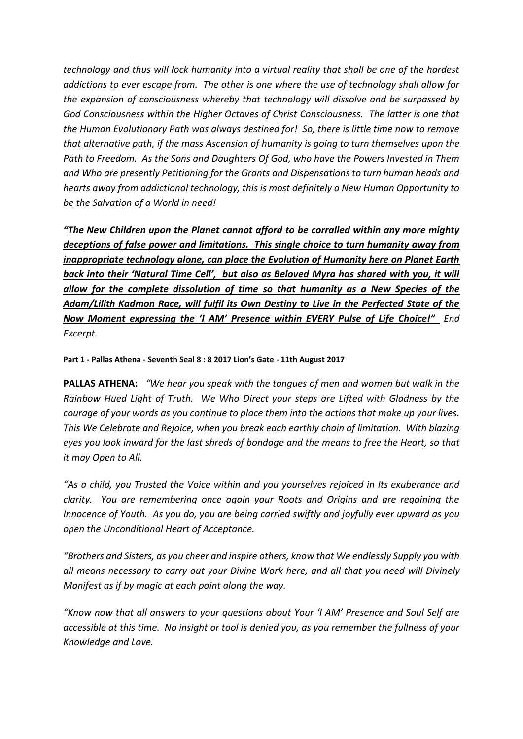*technology and thus will lock humanity into a virtual reality that shall be one of the hardest addictions to ever escape from. The other is one where the use of technology shall allow for the expansion of consciousness whereby that technology will dissolve and be surpassed by God Consciousness within the Higher Octaves of Christ Consciousness. The latter is one that the Human Evolutionary Path was always destined for! So, there is little time now to remove that alternative path, if the mass Ascension of humanity is going to turn themselves upon the Path to Freedom. As the Sons and Daughters Of God, who have the Powers Invested in Them and Who are presently Petitioning for the Grants and Dispensations to turn human heads and hearts away from addictional technology, this is most definitely a New Human Opportunity to be the Salvation of a World in need!* 

*"The New Children upon the Planet cannot afford to be corralled within any more mighty deceptions of false power and limitations. This single choice to turn humanity away from inappropriate technology alone, can place the Evolution of Humanity here on Planet Earth back into their 'Natural Time Cell', but also as Beloved Myra has shared with you, it will allow for the complete dissolution of time so that humanity as a New Species of the Adam/Lilith Kadmon Race, will fulfil its Own Destiny to Live in the Perfected State of the Now Moment expressing the 'I AM' Presence within EVERY Pulse of Life Choice!" End Excerpt.*

**Part 1 - Pallas Athena - Seventh Seal 8 : 8 2017 Lion's Gate - 11th August 2017**

**PALLAS ATHENA:** *"We hear you speak with the tongues of men and women but walk in the Rainbow Hued Light of Truth. We Who Direct your steps are Lifted with Gladness by the courage of your words as you continue to place them into the actions that make up your lives. This We Celebrate and Rejoice, when you break each earthly chain of limitation. With blazing eyes you look inward for the last shreds of bondage and the means to free the Heart, so that it may Open to All.*

*"As a child, you Trusted the Voice within and you yourselves rejoiced in Its exuberance and clarity. You are remembering once again your Roots and Origins and are regaining the Innocence of Youth. As you do, you are being carried swiftly and joyfully ever upward as you open the Unconditional Heart of Acceptance.* 

*"Brothers and Sisters, as you cheer and inspire others, know that We endlessly Supply you with all means necessary to carry out your Divine Work here, and all that you need will Divinely Manifest as if by magic at each point along the way.*

*"Know now that all answers to your questions about Your 'I AM' Presence and Soul Self are accessible at this time. No insight or tool is denied you, as you remember the fullness of your Knowledge and Love.*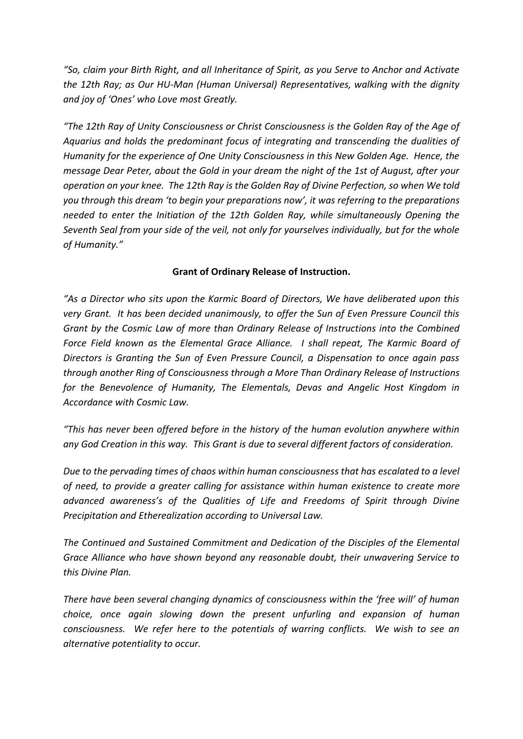*"So, claim your Birth Right, and all Inheritance of Spirit, as you Serve to Anchor and Activate the 12th Ray; as Our HU-Man (Human Universal) Representatives, walking with the dignity and joy of 'Ones' who Love most Greatly.*

*"The 12th Ray of Unity Consciousness or Christ Consciousness is the Golden Ray of the Age of Aquarius and holds the predominant focus of integrating and transcending the dualities of Humanity for the experience of One Unity Consciousness in this New Golden Age. Hence, the message Dear Peter, about the Gold in your dream the night of the 1st of August, after your operation on your knee. The 12th Ray is the Golden Ray of Divine Perfection, so when We told you through this dream 'to begin your preparations now', it was referring to the preparations needed to enter the Initiation of the 12th Golden Ray, while simultaneously Opening the Seventh Seal from your side of the veil, not only for yourselves individually, but for the whole of Humanity."*

# **Grant of Ordinary Release of Instruction.**

*"As a Director who sits upon the Karmic Board of Directors, We have deliberated upon this very Grant. It has been decided unanimously, to offer the Sun of Even Pressure Council this Grant by the Cosmic Law of more than Ordinary Release of Instructions into the Combined Force Field known as the Elemental Grace Alliance. I shall repeat, The Karmic Board of Directors is Granting the Sun of Even Pressure Council, a Dispensation to once again pass through another Ring of Consciousness through a More Than Ordinary Release of Instructions for the Benevolence of Humanity, The Elementals, Devas and Angelic Host Kingdom in Accordance with Cosmic Law.*

*"This has never been offered before in the history of the human evolution anywhere within any God Creation in this way. This Grant is due to several different factors of consideration.*

*Due to the pervading times of chaos within human consciousness that has escalated to a level of need, to provide a greater calling for assistance within human existence to create more advanced awareness's of the Qualities of Life and Freedoms of Spirit through Divine Precipitation and Etherealization according to Universal Law.*

*The Continued and Sustained Commitment and Dedication of the Disciples of the Elemental Grace Alliance who have shown beyond any reasonable doubt, their unwavering Service to this Divine Plan.*

*There have been several changing dynamics of consciousness within the 'free will' of human choice, once again slowing down the present unfurling and expansion of human consciousness. We refer here to the potentials of warring conflicts. We wish to see an alternative potentiality to occur.*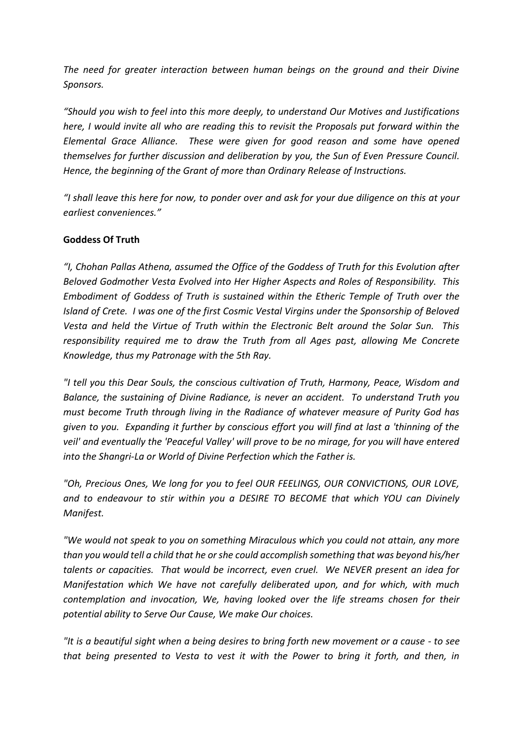*The need for greater interaction between human beings on the ground and their Divine Sponsors.* 

*"Should you wish to feel into this more deeply, to understand Our Motives and Justifications here, I would invite all who are reading this to revisit the Proposals put forward within the Elemental Grace Alliance. These were given for good reason and some have opened themselves for further discussion and deliberation by you, the Sun of Even Pressure Council. Hence, the beginning of the Grant of more than Ordinary Release of Instructions.*

*"I shall leave this here for now, to ponder over and ask for your due diligence on this at your earliest conveniences."* 

## **Goddess Of Truth**

*"I, Chohan Pallas Athena, assumed the Office of the Goddess of Truth for this Evolution after Beloved Godmother Vesta Evolved into Her Higher Aspects and Roles of Responsibility. This Embodiment of Goddess of Truth is sustained within the Etheric Temple of Truth over the Island of Crete. I was one of the first Cosmic Vestal Virgins under the Sponsorship of Beloved Vesta and held the Virtue of Truth within the Electronic Belt around the Solar Sun. This responsibility required me to draw the Truth from all Ages past, allowing Me Concrete Knowledge, thus my Patronage with the 5th Ray.*

*"I tell you this Dear Souls, the conscious cultivation of Truth, Harmony, Peace, Wisdom and Balance, the sustaining of Divine Radiance, is never an accident. To understand Truth you must become Truth through living in the Radiance of whatever measure of Purity God has given to you. Expanding it further by conscious effort you will find at last a 'thinning of the veil' and eventually the 'Peaceful Valley' will prove to be no mirage, for you will have entered into the Shangri-La or World of Divine Perfection which the Father is.* 

*"Oh, Precious Ones, We long for you to feel OUR FEELINGS, OUR CONVICTIONS, OUR LOVE, and to endeavour to stir within you a DESIRE TO BECOME that which YOU can Divinely Manifest.* 

*"We would not speak to you on something Miraculous which you could not attain, any more than you would tell a child that he or she could accomplish something that was beyond his/her talents or capacities. That would be incorrect, even cruel. We NEVER present an idea for Manifestation which We have not carefully deliberated upon, and for which, with much contemplation and invocation, We, having looked over the life streams chosen for their potential ability to Serve Our Cause, We make Our choices.* 

*"It is a beautiful sight when a being desires to bring forth new movement or a cause - to see that being presented to Vesta to vest it with the Power to bring it forth, and then, in*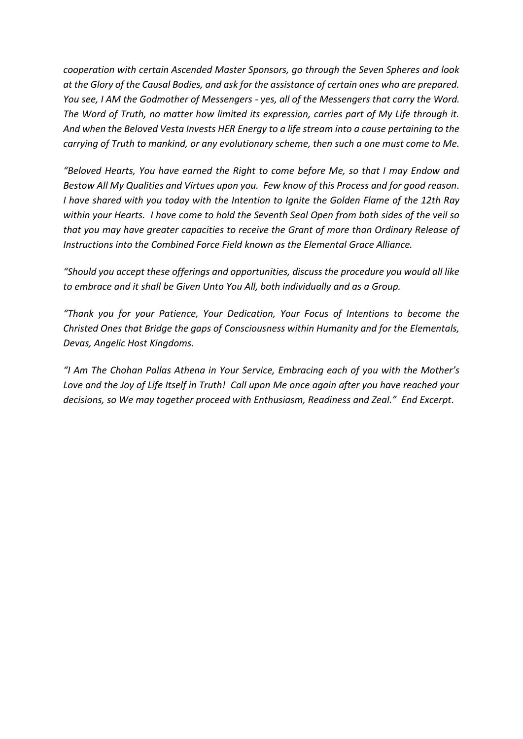*cooperation with certain Ascended Master Sponsors, go through the Seven Spheres and look at the Glory of the Causal Bodies, and ask for the assistance of certain ones who are prepared. You see, I AM the Godmother of Messengers - yes, all of the Messengers that carry the Word. The Word of Truth, no matter how limited its expression, carries part of My Life through it. And when the Beloved Vesta Invests HER Energy to a life stream into a cause pertaining to the carrying of Truth to mankind, or any evolutionary scheme, then such a one must come to Me.* 

*"Beloved Hearts, You have earned the Right to come before Me, so that I may Endow and Bestow All My Qualities and Virtues upon you. Few know of this Process and for good reason. I have shared with you today with the Intention to Ignite the Golden Flame of the 12th Ray within your Hearts. I have come to hold the Seventh Seal Open from both sides of the veil so that you may have greater capacities to receive the Grant of more than Ordinary Release of Instructions into the Combined Force Field known as the Elemental Grace Alliance.*

*"Should you accept these offerings and opportunities, discuss the procedure you would all like to embrace and it shall be Given Unto You All, both individually and as a Group.*

*"Thank you for your Patience, Your Dedication, Your Focus of Intentions to become the Christed Ones that Bridge the gaps of Consciousness within Humanity and for the Elementals, Devas, Angelic Host Kingdoms.*

*"I Am The Chohan Pallas Athena in Your Service, Embracing each of you with the Mother's Love and the Joy of Life Itself in Truth! Call upon Me once again after you have reached your decisions, so We may together proceed with Enthusiasm, Readiness and Zeal." End Excerpt.*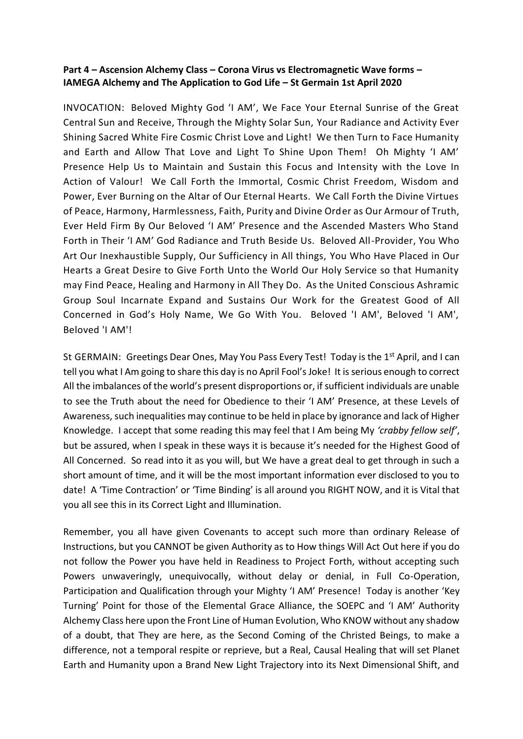## **Part 4 – Ascension Alchemy Class – Corona Virus vs Electromagnetic Wave forms – IAMEGA Alchemy and The Application to God Life – St Germain 1st April 2020**

INVOCATION: Beloved Mighty God 'I AM', We Face Your Eternal Sunrise of the Great Central Sun and Receive, Through the Mighty Solar Sun, Your Radiance and Activity Ever Shining Sacred White Fire Cosmic Christ Love and Light! We then Turn to Face Humanity and Earth and Allow That Love and Light To Shine Upon Them! Oh Mighty 'I AM' Presence Help Us to Maintain and Sustain this Focus and Intensity with the Love In Action of Valour! We Call Forth the Immortal, Cosmic Christ Freedom, Wisdom and Power, Ever Burning on the Altar of Our Eternal Hearts. We Call Forth the Divine Virtues of Peace, Harmony, Harmlessness, Faith, Purity and Divine Order as Our Armour of Truth, Ever Held Firm By Our Beloved 'I AM' Presence and the Ascended Masters Who Stand Forth in Their 'I AM' God Radiance and Truth Beside Us. Beloved All-Provider, You Who Art Our Inexhaustible Supply, Our Sufficiency in All things, You Who Have Placed in Our Hearts a Great Desire to Give Forth Unto the World Our Holy Service so that Humanity may Find Peace, Healing and Harmony in All They Do. As the United Conscious Ashramic Group Soul Incarnate Expand and Sustains Our Work for the Greatest Good of All Concerned in God's Holy Name, We Go With You. Beloved 'I AM', Beloved 'I AM', Beloved 'I AM'!

St GERMAIN: Greetings Dear Ones, May You Pass Every Test! Today is the 1<sup>st</sup> April, and I can tell you what I Am going to share this day is no April Fool's Joke! It is serious enough to correct All the imbalances of the world's present disproportions or, if sufficient individuals are unable to see the Truth about the need for Obedience to their 'I AM' Presence, at these Levels of Awareness, such inequalities may continue to be held in place by ignorance and lack of Higher Knowledge. I accept that some reading this may feel that I Am being My *'crabby fellow self'*, but be assured, when I speak in these ways it is because it's needed for the Highest Good of All Concerned. So read into it as you will, but We have a great deal to get through in such a short amount of time, and it will be the most important information ever disclosed to you to date! A 'Time Contraction' or 'Time Binding' is all around you RIGHT NOW, and it is Vital that you all see this in its Correct Light and Illumination.

Remember, you all have given Covenants to accept such more than ordinary Release of Instructions, but you CANNOT be given Authority as to How things Will Act Out here if you do not follow the Power you have held in Readiness to Project Forth, without accepting such Powers unwaveringly, unequivocally, without delay or denial, in Full Co-Operation, Participation and Qualification through your Mighty 'I AM' Presence! Today is another 'Key Turning' Point for those of the Elemental Grace Alliance, the SOEPC and 'I AM' Authority Alchemy Class here upon the Front Line of Human Evolution, Who KNOW without any shadow of a doubt, that They are here, as the Second Coming of the Christed Beings, to make a difference, not a temporal respite or reprieve, but a Real, Causal Healing that will set Planet Earth and Humanity upon a Brand New Light Trajectory into its Next Dimensional Shift, and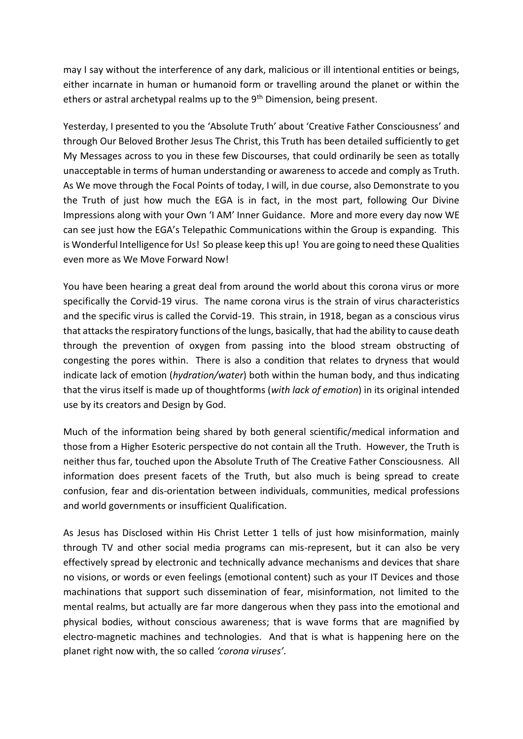may I say without the interference of any dark, malicious or ill intentional entities or beings, either incarnate in human or humanoid form or travelling around the planet or within the ethers or astral archetypal realms up to the 9<sup>th</sup> Dimension, being present.

Yesterday, I presented to you the 'Absolute Truth' about 'Creative Father Consciousness' and through Our Beloved Brother Jesus The Christ, this Truth has been detailed sufficiently to get My Messages across to you in these few Discourses, that could ordinarily be seen as totally unacceptable in terms of human understanding or awareness to accede and comply as Truth. As We move through the Focal Points of today, I will, in due course, also Demonstrate to you the Truth of just how much the EGA is in fact, in the most part, following Our Divine Impressions along with your Own 'I AM' Inner Guidance. More and more every day now WE can see just how the EGA's Telepathic Communications within the Group is expanding. This is Wonderful Intelligence for Us! So please keep this up! You are going to need these Qualities even more as We Move Forward Now!

You have been hearing a great deal from around the world about this corona virus or more specifically the Corvid-19 virus. The name corona virus is the strain of virus characteristics and the specific virus is called the Corvid-19. This strain, in 1918, began as a conscious virus that attacks the respiratory functions of the lungs, basically, that had the ability to cause death through the prevention of oxygen from passing into the blood stream obstructing of congesting the pores within. There is also a condition that relates to dryness that would indicate lack of emotion (*hydration/water*) both within the human body, and thus indicating that the virus itself is made up of thoughtforms (*with lack of emotion*) in its original intended use by its creators and Design by God.

Much of the information being shared by both general scientific/medical information and those from a Higher Esoteric perspective do not contain all the Truth. However, the Truth is neither thus far, touched upon the Absolute Truth of The Creative Father Consciousness. All information does present facets of the Truth, but also much is being spread to create confusion, fear and dis-orientation between individuals, communities, medical professions and world governments or insufficient Qualification.

As Jesus has Disclosed within His Christ Letter 1 tells of just how misinformation, mainly through TV and other social media programs can mis-represent, but it can also be very effectively spread by electronic and technically advance mechanisms and devices that share no visions, or words or even feelings (emotional content) such as your IT Devices and those machinations that support such dissemination of fear, misinformation, not limited to the mental realms, but actually are far more dangerous when they pass into the emotional and physical bodies, without conscious awareness; that is wave forms that are magnified by electro-magnetic machines and technologies. And that is what is happening here on the planet right now with, the so called *'corona viruses'*.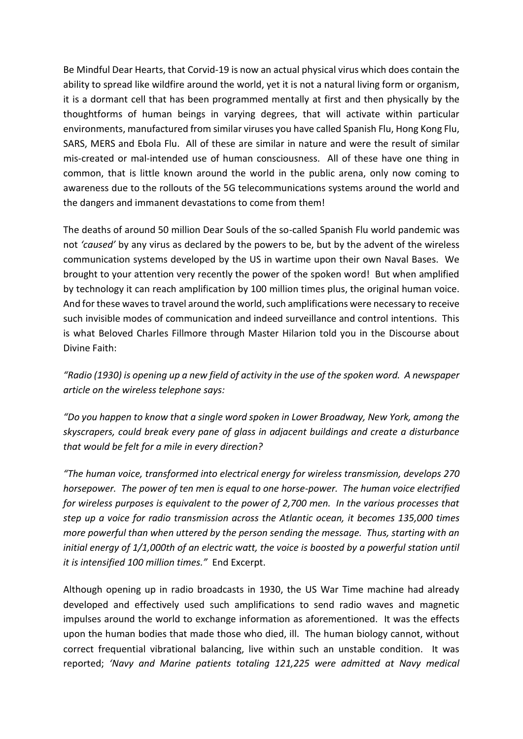Be Mindful Dear Hearts, that Corvid-19 is now an actual physical virus which does contain the ability to spread like wildfire around the world, yet it is not a natural living form or organism, it is a dormant cell that has been programmed mentally at first and then physically by the thoughtforms of human beings in varying degrees, that will activate within particular environments, manufactured from similar viruses you have called Spanish Flu, Hong Kong Flu, SARS, MERS and Ebola Flu. All of these are similar in nature and were the result of similar mis-created or mal-intended use of human consciousness. All of these have one thing in common, that is little known around the world in the public arena, only now coming to awareness due to the rollouts of the 5G telecommunications systems around the world and the dangers and immanent devastations to come from them!

The deaths of around 50 million Dear Souls of the so-called Spanish Flu world pandemic was not *'caused'* by any virus as declared by the powers to be, but by the advent of the wireless communication systems developed by the US in wartime upon their own Naval Bases. We brought to your attention very recently the power of the spoken word! But when amplified by technology it can reach amplification by 100 million times plus, the original human voice. And for these waves to travel around the world, such amplifications were necessary to receive such invisible modes of communication and indeed surveillance and control intentions. This is what Beloved Charles Fillmore through Master Hilarion told you in the Discourse about Divine Faith:

*"Radio (1930) is opening up a new field of activity in the use of the spoken word. A newspaper article on the wireless telephone says:* 

*"Do you happen to know that a single word spoken in Lower Broadway, New York, among the skyscrapers, could break every pane of glass in adjacent buildings and create a disturbance that would be felt for a mile in every direction?*

*"The human voice, transformed into electrical energy for wireless transmission, develops 270 horsepower. The power of ten men is equal to one horse-power. The human voice electrified for wireless purposes is equivalent to the power of 2,700 men. In the various processes that step up a voice for radio transmission across the Atlantic ocean, it becomes 135,000 times more powerful than when uttered by the person sending the message. Thus, starting with an initial energy of 1/1,000th of an electric watt, the voice is boosted by a powerful station until it is intensified 100 million times."* End Excerpt.

Although opening up in radio broadcasts in 1930, the US War Time machine had already developed and effectively used such amplifications to send radio waves and magnetic impulses around the world to exchange information as aforementioned. It was the effects upon the human bodies that made those who died, ill. The human biology cannot, without correct frequential vibrational balancing, live within such an unstable condition. It was reported; *'Navy and Marine patients totaling 121,225 were admitted at Navy medical*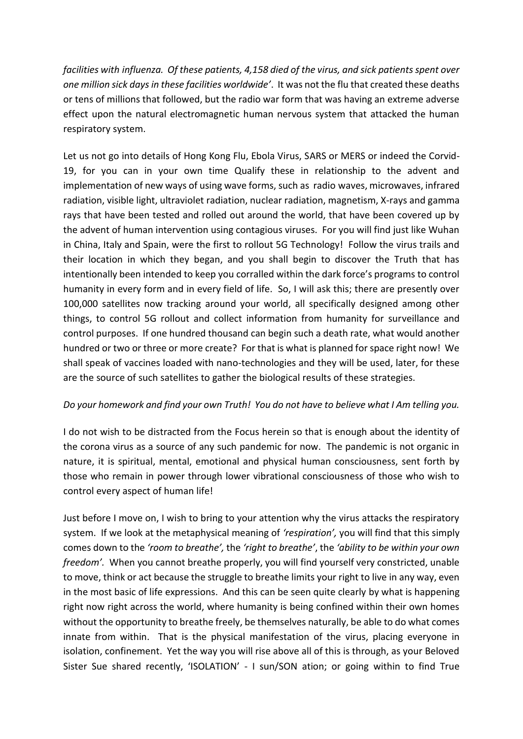*facilities with influenza. Of these patients, 4,158 died of the virus, and sick patients spent over one million sick days in these facilities worldwide'*. It was not the flu that created these deaths or tens of millions that followed, but the radio war form that was having an extreme adverse effect upon the natural electromagnetic human nervous system that attacked the human respiratory system.

Let us not go into details of Hong Kong Flu, Ebola Virus, SARS or MERS or indeed the Corvid-19, for you can in your own time Qualify these in relationship to the advent and implementation of new ways of using wave forms, such as radio waves, microwaves, infrared radiation, visible light, ultraviolet radiation, nuclear radiation, magnetism, X-rays and gamma rays that have been tested and rolled out around the world, that have been covered up by the advent of human intervention using contagious viruses. For you will find just like Wuhan in China, Italy and Spain, were the first to rollout 5G Technology! Follow the virus trails and their location in which they began, and you shall begin to discover the Truth that has intentionally been intended to keep you corralled within the dark force's programs to control humanity in every form and in every field of life. So, I will ask this; there are presently over 100,000 satellites now tracking around your world, all specifically designed among other things, to control 5G rollout and collect information from humanity for surveillance and control purposes. If one hundred thousand can begin such a death rate, what would another hundred or two or three or more create? For that is what is planned for space right now! We shall speak of vaccines loaded with nano-technologies and they will be used, later, for these are the source of such satellites to gather the biological results of these strategies.

## *Do your homework and find your own Truth! You do not have to believe what I Am telling you.*

I do not wish to be distracted from the Focus herein so that is enough about the identity of the corona virus as a source of any such pandemic for now. The pandemic is not organic in nature, it is spiritual, mental, emotional and physical human consciousness, sent forth by those who remain in power through lower vibrational consciousness of those who wish to control every aspect of human life!

Just before I move on, I wish to bring to your attention why the virus attacks the respiratory system. If we look at the metaphysical meaning of *'respiration',* you will find that this simply comes down to the *'room to breathe',* the *'right to breathe'*, the *'ability to be within your own freedom'.* When you cannot breathe properly, you will find yourself very constricted, unable to move, think or act because the struggle to breathe limits your right to live in any way, even in the most basic of life expressions. And this can be seen quite clearly by what is happening right now right across the world, where humanity is being confined within their own homes without the opportunity to breathe freely, be themselves naturally, be able to do what comes innate from within. That is the physical manifestation of the virus, placing everyone in isolation, confinement. Yet the way you will rise above all of this is through, as your Beloved Sister Sue shared recently, 'ISOLATION' - I sun/SON ation; or going within to find True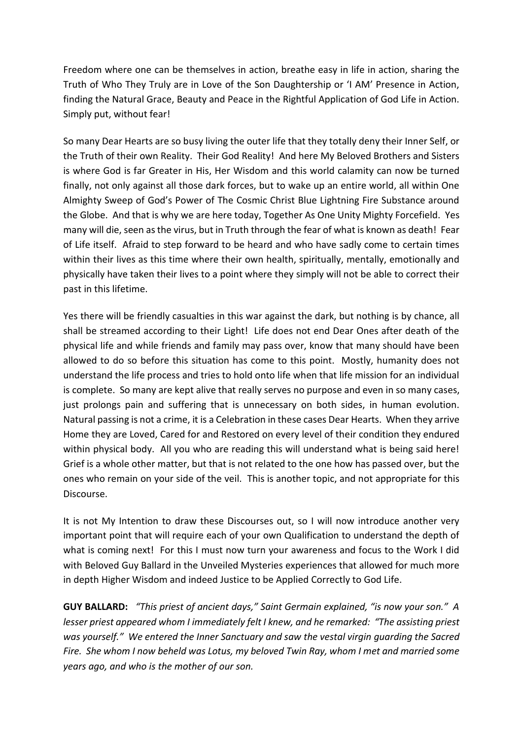Freedom where one can be themselves in action, breathe easy in life in action, sharing the Truth of Who They Truly are in Love of the Son Daughtership or 'I AM' Presence in Action, finding the Natural Grace, Beauty and Peace in the Rightful Application of God Life in Action. Simply put, without fear!

So many Dear Hearts are so busy living the outer life that they totally deny their Inner Self, or the Truth of their own Reality. Their God Reality! And here My Beloved Brothers and Sisters is where God is far Greater in His, Her Wisdom and this world calamity can now be turned finally, not only against all those dark forces, but to wake up an entire world, all within One Almighty Sweep of God's Power of The Cosmic Christ Blue Lightning Fire Substance around the Globe. And that is why we are here today, Together As One Unity Mighty Forcefield. Yes many will die, seen as the virus, but in Truth through the fear of what is known as death! Fear of Life itself. Afraid to step forward to be heard and who have sadly come to certain times within their lives as this time where their own health, spiritually, mentally, emotionally and physically have taken their lives to a point where they simply will not be able to correct their past in this lifetime.

Yes there will be friendly casualties in this war against the dark, but nothing is by chance, all shall be streamed according to their Light! Life does not end Dear Ones after death of the physical life and while friends and family may pass over, know that many should have been allowed to do so before this situation has come to this point. Mostly, humanity does not understand the life process and tries to hold onto life when that life mission for an individual is complete. So many are kept alive that really serves no purpose and even in so many cases, just prolongs pain and suffering that is unnecessary on both sides, in human evolution. Natural passing is not a crime, it is a Celebration in these cases Dear Hearts. When they arrive Home they are Loved, Cared for and Restored on every level of their condition they endured within physical body. All you who are reading this will understand what is being said here! Grief is a whole other matter, but that is not related to the one how has passed over, but the ones who remain on your side of the veil. This is another topic, and not appropriate for this Discourse.

It is not My Intention to draw these Discourses out, so I will now introduce another very important point that will require each of your own Qualification to understand the depth of what is coming next! For this I must now turn your awareness and focus to the Work I did with Beloved Guy Ballard in the Unveiled Mysteries experiences that allowed for much more in depth Higher Wisdom and indeed Justice to be Applied Correctly to God Life.

**GUY BALLARD:** *"This priest of ancient days," Saint Germain explained, "is now your son." A lesser priest appeared whom I immediately felt I knew, and he remarked: "The assisting priest was yourself." We entered the Inner Sanctuary and saw the vestal virgin guarding the Sacred Fire. She whom I now beheld was Lotus, my beloved Twin Ray, whom I met and married some years ago, and who is the mother of our son.*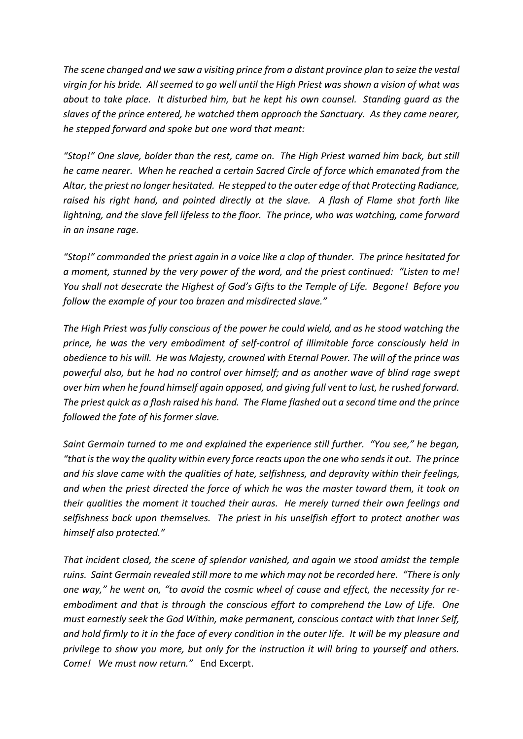*The scene changed and we saw a visiting prince from a distant province plan to seize the vestal virgin for his bride. All seemed to go well until the High Priest was shown a vision of what was about to take place. It disturbed him, but he kept his own counsel. Standing guard as the slaves of the prince entered, he watched them approach the Sanctuary. As they came nearer, he stepped forward and spoke but one word that meant:*

*"Stop!" One slave, bolder than the rest, came on. The High Priest warned him back, but still he came nearer. When he reached a certain Sacred Circle of force which emanated from the Altar, the priest no longer hesitated. He stepped to the outer edge of that Protecting Radiance, raised his right hand, and pointed directly at the slave. A flash of Flame shot forth like lightning, and the slave fell lifeless to the floor. The prince, who was watching, came forward in an insane rage.*

*"Stop!" commanded the priest again in a voice like a clap of thunder. The prince hesitated for a moment, stunned by the very power of the word, and the priest continued: "Listen to me! You shall not desecrate the Highest of God's Gifts to the Temple of Life. Begone! Before you follow the example of your too brazen and misdirected slave."*

*The High Priest was fully conscious of the power he could wield, and as he stood watching the prince, he was the very embodiment of self-control of illimitable force consciously held in obedience to his will. He was Majesty, crowned with Eternal Power. The will of the prince was powerful also, but he had no control over himself; and as another wave of blind rage swept over him when he found himself again opposed, and giving full vent to lust, he rushed forward. The priest quick as a flash raised his hand. The Flame flashed out a second time and the prince followed the fate of his former slave.*

*Saint Germain turned to me and explained the experience still further. "You see," he began, "that is the way the quality within every force reacts upon the one who sends it out. The prince and his slave came with the qualities of hate, selfishness, and depravity within their feelings, and when the priest directed the force of which he was the master toward them, it took on their qualities the moment it touched their auras. He merely turned their own feelings and selfishness back upon themselves. The priest in his unselfish effort to protect another was himself also protected."*

*That incident closed, the scene of splendor vanished, and again we stood amidst the temple ruins. Saint Germain revealed still more to me which may not be recorded here. "There is only one way," he went on, "to avoid the cosmic wheel of cause and effect, the necessity for reembodiment and that is through the conscious effort to comprehend the Law of Life. One must earnestly seek the God Within, make permanent, conscious contact with that Inner Self, and hold firmly to it in the face of every condition in the outer life. It will be my pleasure and privilege to show you more, but only for the instruction it will bring to yourself and others. Come! We must now return."* End Excerpt.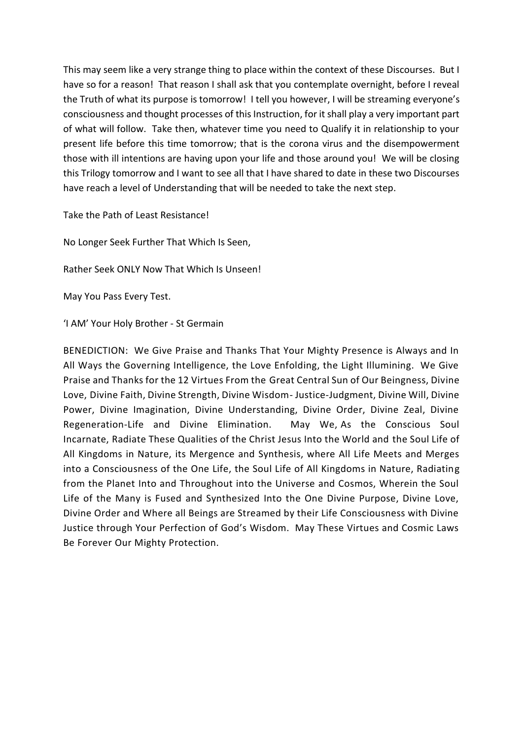This may seem like a very strange thing to place within the context of these Discourses. But I have so for a reason! That reason I shall ask that you contemplate overnight, before I reveal the Truth of what its purpose is tomorrow! I tell you however, I will be streaming everyone's consciousness and thought processes of this Instruction, for it shall play a very important part of what will follow. Take then, whatever time you need to Qualify it in relationship to your present life before this time tomorrow; that is the corona virus and the disempowerment those with ill intentions are having upon your life and those around you! We will be closing this Trilogy tomorrow and I want to see all that I have shared to date in these two Discourses have reach a level of Understanding that will be needed to take the next step.

Take the Path of Least Resistance!

No Longer Seek Further That Which Is Seen,

Rather Seek ONLY Now That Which Is Unseen!

May You Pass Every Test.

'I AM' Your Holy Brother - St Germain

BENEDICTION: We Give Praise and Thanks That Your Mighty Presence is Always and In All Ways the Governing Intelligence, the Love Enfolding, the Light Illumining. We Give Praise and Thanks for the 12 Virtues From the Great Central Sun of Our Beingness, Divine Love, Divine Faith, Divine Strength, Divine Wisdom- Justice-Judgment, Divine Will, Divine Power, Divine Imagination, Divine Understanding, Divine Order, Divine Zeal, Divine Regeneration-Life and Divine Elimination. May We, As the Conscious Soul Incarnate, Radiate These Qualities of the Christ Jesus Into the World and the Soul Life of All Kingdoms in Nature, its Mergence and Synthesis, where All Life Meets and Merges into a Consciousness of the One Life, the Soul Life of All Kingdoms in Nature, Radiating from the Planet Into and Throughout into the Universe and Cosmos, Wherein the Soul Life of the Many is Fused and Synthesized Into the One Divine Purpose, Divine Love, Divine Order and Where all Beings are Streamed by their Life Consciousness with Divine Justice through Your Perfection of God's Wisdom. May These Virtues and Cosmic Laws Be Forever Our Mighty Protection.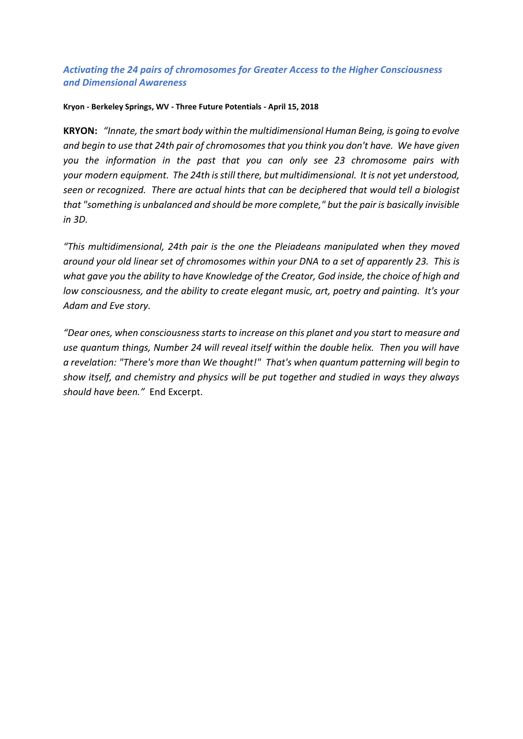# *Activating the 24 pairs of chromosomes for Greater Access to the Higher Consciousness and Dimensional Awareness*

#### **Kryon - Berkeley Springs, WV - Three Future Potentials - April 15, 2018**

**KRYON:** *"Innate, the smart body within the multidimensional Human Being, is going to evolve and begin to use that 24th pair of chromosomes that you think you don't have. We have given you the information in the past that you can only see 23 chromosome pairs with your modern equipment. The 24th is still there, but multidimensional. It is not yet understood, seen or recognized. There are actual hints that can be deciphered that would tell a biologist that "something is unbalanced and should be more complete," but the pair is basically invisible in 3D.*

*"This multidimensional, 24th pair is the one the Pleiadeans manipulated when they moved around your old linear set of chromosomes within your DNA to a set of apparently 23. This is what gave you the ability to have Knowledge of the Creator, God inside, the choice of high and low consciousness, and the ability to create elegant music, art, poetry and painting. It's your Adam and Eve story.*

*"Dear ones, when consciousness starts to increase on this planet and you start to measure and use quantum things, Number 24 will reveal itself within the double helix. Then you will have a revelation: "There's more than We thought!" That's when quantum patterning will begin to show itself, and chemistry and physics will be put together and studied in ways they always should have been."* End Excerpt.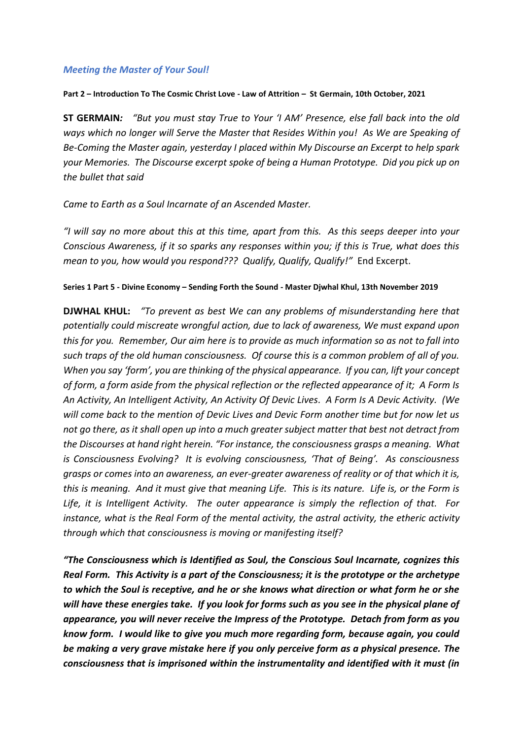## *Meeting the Master of Your Soul!*

#### **Part 2 – Introduction To The Cosmic Christ Love - Law of Attrition – St Germain, 10th October, 2021**

**ST GERMAIN***: "But you must stay True to Your 'I AM' Presence, else fall back into the old ways which no longer will Serve the Master that Resides Within you! As We are Speaking of Be-Coming the Master again, yesterday I placed within My Discourse an Excerpt to help spark your Memories. The Discourse excerpt spoke of being a Human Prototype. Did you pick up on the bullet that said* 

*Came to Earth as a Soul Incarnate of an Ascended Master.*

*"I will say no more about this at this time, apart from this. As this seeps deeper into your Conscious Awareness, if it so sparks any responses within you; if this is True, what does this mean to you, how would you respond??? Qualify, Qualify, Qualify!"* End Excerpt.

### **Series 1 Part 5 - Divine Economy – Sending Forth the Sound - Master Djwhal Khul, 13th November 2019**

**DJWHAL KHUL:** *"To prevent as best We can any problems of misunderstanding here that potentially could miscreate wrongful action, due to lack of awareness, We must expand upon this for you. Remember, Our aim here is to provide as much information so as not to fall into such traps of the old human consciousness. Of course this is a common problem of all of you. When you say 'form', you are thinking of the physical appearance. If you can, lift your concept of form, a form aside from the physical reflection or the reflected appearance of it; A Form Is An Activity, An Intelligent Activity, An Activity Of Devic Lives. A Form Is A Devic Activity. (We will come back to the mention of Devic Lives and Devic Form another time but for now let us not go there, as it shall open up into a much greater subject matter that best not detract from the Discourses at hand right herein. "For instance, the consciousness grasps a meaning. What is Consciousness Evolving? It is evolving consciousness, 'That of Being'. As consciousness grasps or comes into an awareness, an ever-greater awareness of reality or of that which it is, this is meaning. And it must give that meaning Life. This is its nature. Life is, or the Form is Life, it is Intelligent Activity. The outer appearance is simply the reflection of that. For instance, what is the Real Form of the mental activity, the astral activity, the etheric activity through which that consciousness is moving or manifesting itself?*

*"The Consciousness which is Identified as Soul, the Conscious Soul Incarnate, cognizes this Real Form. This Activity is a part of the Consciousness; it is the prototype or the archetype to which the Soul is receptive, and he or she knows what direction or what form he or she will have these energies take. If you look for forms such as you see in the physical plane of appearance, you will never receive the Impress of the Prototype. Detach from form as you know form. I would like to give you much more regarding form, because again, you could be making a very grave mistake here if you only perceive form as a physical presence. The consciousness that is imprisoned within the instrumentality and identified with it must (in*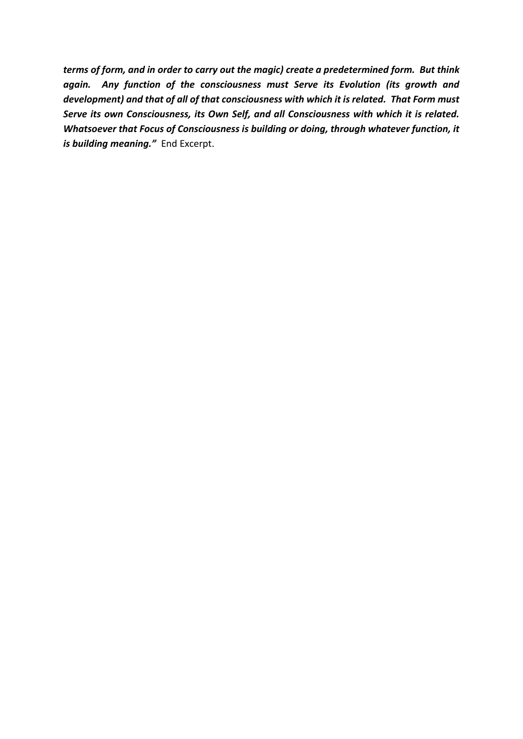*terms of form, and in order to carry out the magic) create a predetermined form. But think again. Any function of the consciousness must Serve its Evolution (its growth and development) and that of all of that consciousness with which it is related. That Form must Serve its own Consciousness, its Own Self, and all Consciousness with which it is related. Whatsoever that Focus of Consciousness is building or doing, through whatever function, it is building meaning."* End Excerpt.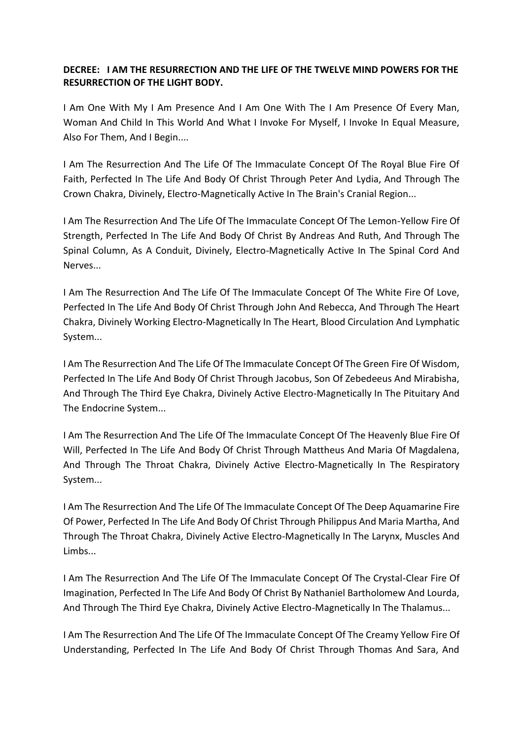# **DECREE: I AM THE RESURRECTION AND THE LIFE OF THE TWELVE MIND POWERS FOR THE RESURRECTION OF THE LIGHT BODY.**

I Am One With My I Am Presence And I Am One With The I Am Presence Of Every Man, Woman And Child In This World And What I Invoke For Myself, I Invoke In Equal Measure, Also For Them, And I Begin....

I Am The Resurrection And The Life Of The Immaculate Concept Of The Royal Blue Fire Of Faith, Perfected In The Life And Body Of Christ Through Peter And Lydia, And Through The Crown Chakra, Divinely, Electro-Magnetically Active In The Brain's Cranial Region...

I Am The Resurrection And The Life Of The Immaculate Concept Of The Lemon-Yellow Fire Of Strength, Perfected In The Life And Body Of Christ By Andreas And Ruth, And Through The Spinal Column, As A Conduit, Divinely, Electro-Magnetically Active In The Spinal Cord And Nerves...

I Am The Resurrection And The Life Of The Immaculate Concept Of The White Fire Of Love, Perfected In The Life And Body Of Christ Through John And Rebecca, And Through The Heart Chakra, Divinely Working Electro-Magnetically In The Heart, Blood Circulation And Lymphatic System...

I Am The Resurrection And The Life Of The Immaculate Concept Of The Green Fire Of Wisdom, Perfected In The Life And Body Of Christ Through Jacobus, Son Of Zebedeeus And Mirabisha, And Through The Third Eye Chakra, Divinely Active Electro-Magnetically In The Pituitary And The Endocrine System...

I Am The Resurrection And The Life Of The Immaculate Concept Of The Heavenly Blue Fire Of Will, Perfected In The Life And Body Of Christ Through Mattheus And Maria Of Magdalena, And Through The Throat Chakra, Divinely Active Electro-Magnetically In The Respiratory System...

I Am The Resurrection And The Life Of The Immaculate Concept Of The Deep Aquamarine Fire Of Power, Perfected In The Life And Body Of Christ Through Philippus And Maria Martha, And Through The Throat Chakra, Divinely Active Electro-Magnetically In The Larynx, Muscles And Limbs...

I Am The Resurrection And The Life Of The Immaculate Concept Of The Crystal-Clear Fire Of Imagination, Perfected In The Life And Body Of Christ By Nathaniel Bartholomew And Lourda, And Through The Third Eye Chakra, Divinely Active Electro-Magnetically In The Thalamus...

I Am The Resurrection And The Life Of The Immaculate Concept Of The Creamy Yellow Fire Of Understanding, Perfected In The Life And Body Of Christ Through Thomas And Sara, And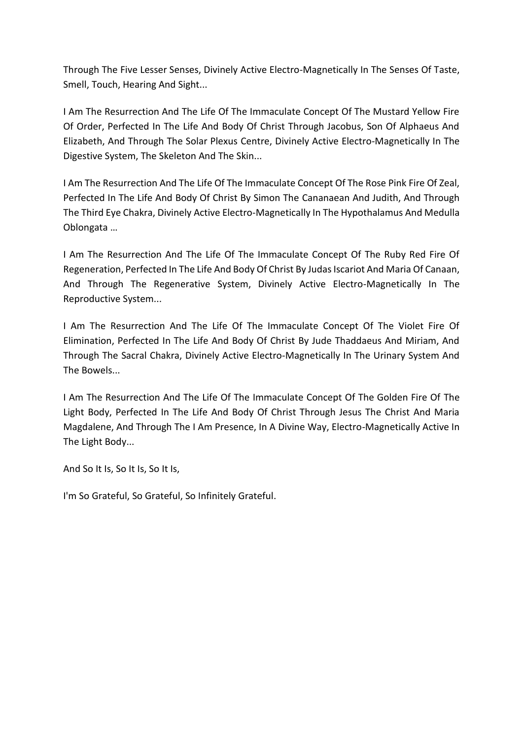Through The Five Lesser Senses, Divinely Active Electro-Magnetically In The Senses Of Taste, Smell, Touch, Hearing And Sight...

I Am The Resurrection And The Life Of The Immaculate Concept Of The Mustard Yellow Fire Of Order, Perfected In The Life And Body Of Christ Through Jacobus, Son Of Alphaeus And Elizabeth, And Through The Solar Plexus Centre, Divinely Active Electro-Magnetically In The Digestive System, The Skeleton And The Skin...

I Am The Resurrection And The Life Of The Immaculate Concept Of The Rose Pink Fire Of Zeal, Perfected In The Life And Body Of Christ By Simon The Cananaean And Judith, And Through The Third Eye Chakra, Divinely Active Electro-Magnetically In The Hypothalamus And Medulla Oblongata …

I Am The Resurrection And The Life Of The Immaculate Concept Of The Ruby Red Fire Of Regeneration, Perfected In The Life And Body Of Christ By Judas Iscariot And Maria Of Canaan, And Through The Regenerative System, Divinely Active Electro-Magnetically In The Reproductive System...

I Am The Resurrection And The Life Of The Immaculate Concept Of The Violet Fire Of Elimination, Perfected In The Life And Body Of Christ By Jude Thaddaeus And Miriam, And Through The Sacral Chakra, Divinely Active Electro-Magnetically In The Urinary System And The Bowels...

I Am The Resurrection And The Life Of The Immaculate Concept Of The Golden Fire Of The Light Body, Perfected In The Life And Body Of Christ Through Jesus The Christ And Maria Magdalene, And Through The I Am Presence, In A Divine Way, Electro-Magnetically Active In The Light Body...

And So It Is, So It Is, So It Is,

I'm So Grateful, So Grateful, So Infinitely Grateful.